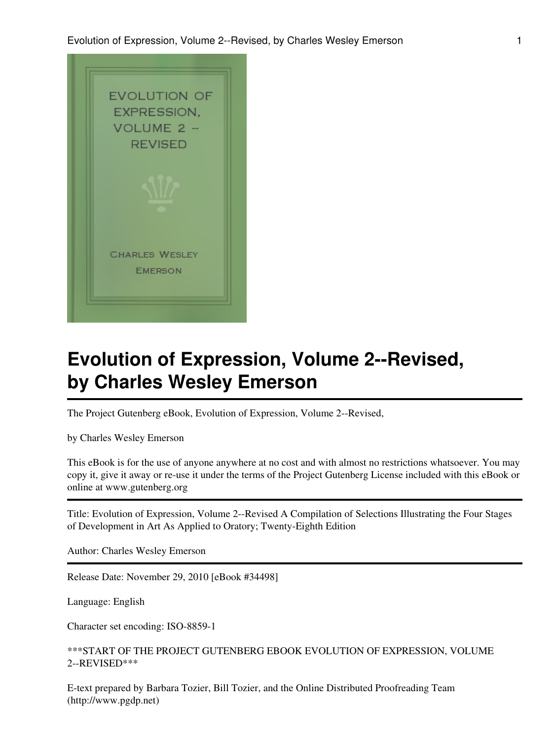

# **Evolution of Expression, Volume 2--Revised, by Charles Wesley Emerson**

The Project Gutenberg eBook, Evolution of Expression, Volume 2--Revised,

by Charles Wesley Emerson

This eBook is for the use of anyone anywhere at no cost and with almost no restrictions whatsoever. You may copy it, give it away or re-use it under the terms of the Project Gutenberg License included with this eBook or online at www.gutenberg.org

Title: Evolution of Expression, Volume 2--Revised A Compilation of Selections Illustrating the Four Stages of Development in Art As Applied to Oratory; Twenty-Eighth Edition

Author: Charles Wesley Emerson

Release Date: November 29, 2010 [eBook #34498]

Language: English

Character set encoding: ISO-8859-1

\*\*\*START OF THE PROJECT GUTENBERG EBOOK EVOLUTION OF EXPRESSION, VOLUME 2--REVISED\*\*\*

E-text prepared by Barbara Tozier, Bill Tozier, and the Online Distributed Proofreading Team (http://www.pgdp.net)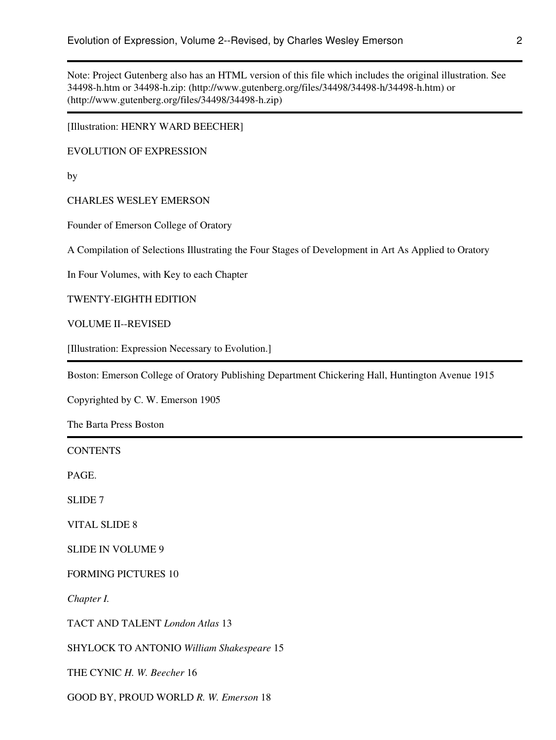Note: Project Gutenberg also has an HTML version of this file which includes the original illustration. See 34498-h.htm or 34498-h.zip: (http://www.gutenberg.org/files/34498/34498-h/34498-h.htm) or (http://www.gutenberg.org/files/34498/34498-h.zip)

[Illustration: HENRY WARD BEECHER]

EVOLUTION OF EXPRESSION

by

CHARLES WESLEY EMERSON

Founder of Emerson College of Oratory

A Compilation of Selections Illustrating the Four Stages of Development in Art As Applied to Oratory

In Four Volumes, with Key to each Chapter

TWENTY-EIGHTH EDITION

VOLUME II--REVISED

[Illustration: Expression Necessary to Evolution.]

Boston: Emerson College of Oratory Publishing Department Chickering Hall, Huntington Avenue 1915

Copyrighted by C. W. Emerson 1905

The Barta Press Boston

| <b>CONTENTS</b>                           |
|-------------------------------------------|
| PAGE.                                     |
| SLIDE <sub>7</sub>                        |
| <b>VITAL SLIDE 8</b>                      |
| <b>SLIDE IN VOLUME 9</b>                  |
| <b>FORMING PICTURES 10</b>                |
| Chapter I.                                |
| TACT AND TALENT London Atlas 13           |
| SHYLOCK TO ANTONIO William Shakespeare 15 |
| THE CYNIC H. W. Beecher 16                |
| GOOD BY, PROUD WORLD R. W. Emerson 18     |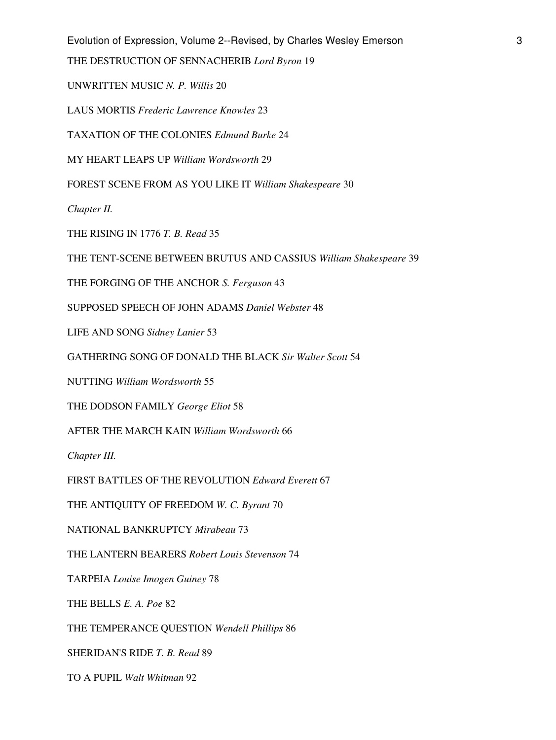Evolution of Expression, Volume 2--Revised, by Charles Wesley Emerson 3

THE DESTRUCTION OF SENNACHERIB *Lord Byron* 19

UNWRITTEN MUSIC *N. P. Willis* 20

LAUS MORTIS *Frederic Lawrence Knowles* 23

TAXATION OF THE COLONIES *Edmund Burke* 24

MY HEART LEAPS UP *William Wordsworth* 29

FOREST SCENE FROM AS YOU LIKE IT *William Shakespeare* 30

*Chapter II.*

THE RISING IN 1776 *T. B. Read* 35

THE TENT-SCENE BETWEEN BRUTUS AND CASSIUS *William Shakespeare* 39

THE FORGING OF THE ANCHOR *S. Ferguson* 43

SUPPOSED SPEECH OF JOHN ADAMS *Daniel Webster* 48

LIFE AND SONG *Sidney Lanier* 53

GATHERING SONG OF DONALD THE BLACK *Sir Walter Scott* 54

NUTTING *William Wordsworth* 55

THE DODSON FAMILY *George Eliot* 58

AFTER THE MARCH KAIN *William Wordsworth* 66

*Chapter III.*

FIRST BATTLES OF THE REVOLUTION *Edward Everett* 67

THE ANTIQUITY OF FREEDOM *W. C. Byrant* 70

NATIONAL BANKRUPTCY *Mirabeau* 73

THE LANTERN BEARERS *Robert Louis Stevenson* 74

TARPEIA *Louise Imogen Guiney* 78

THE BELLS *E. A. Poe* 82

THE TEMPERANCE QUESTION *Wendell Phillips* 86

SHERIDAN'S RIDE *T. B. Read* 89

TO A PUPIL *Walt Whitman* 92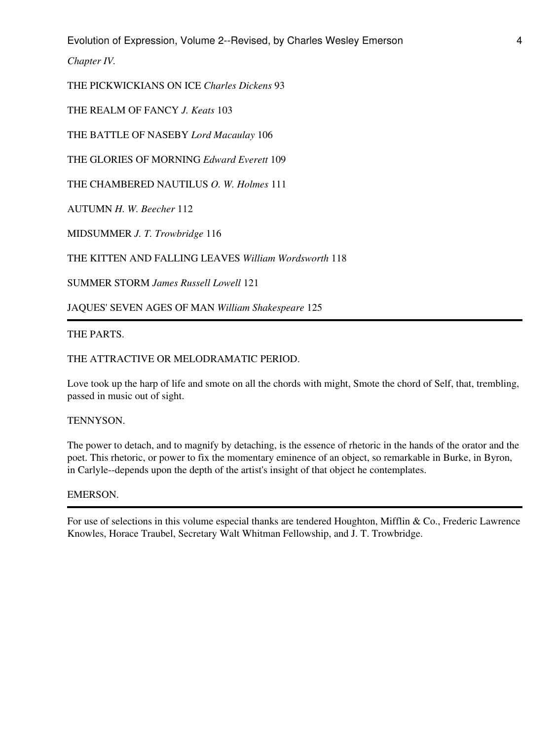Evolution of Expression, Volume 2--Revised, by Charles Wesley Emerson 4

*Chapter IV.*

THE PICKWICKIANS ON ICE *Charles Dickens* 93

THE REALM OF FANCY *J. Keats* 103

THE BATTLE OF NASEBY *Lord Macaulay* 106

THE GLORIES OF MORNING *Edward Everett* 109

THE CHAMBERED NAUTILUS *O. W. Holmes* 111

AUTUMN *H. W. Beecher* 112

MIDSUMMER *J. T. Trowbridge* 116

THE KITTEN AND FALLING LEAVES *William Wordsworth* 118

SUMMER STORM *James Russell Lowell* 121

JAQUES' SEVEN AGES OF MAN *William Shakespeare* 125

## THE PARTS.

#### THE ATTRACTIVE OR MELODRAMATIC PERIOD.

Love took up the harp of life and smote on all the chords with might, Smote the chord of Self, that, trembling, passed in music out of sight.

#### TENNYSON.

The power to detach, and to magnify by detaching, is the essence of rhetoric in the hands of the orator and the poet. This rhetoric, or power to fix the momentary eminence of an object, so remarkable in Burke, in Byron, in Carlyle--depends upon the depth of the artist's insight of that object he contemplates.

## EMERSON.

For use of selections in this volume especial thanks are tendered Houghton, Mifflin & Co., Frederic Lawrence Knowles, Horace Traubel, Secretary Walt Whitman Fellowship, and J. T. Trowbridge.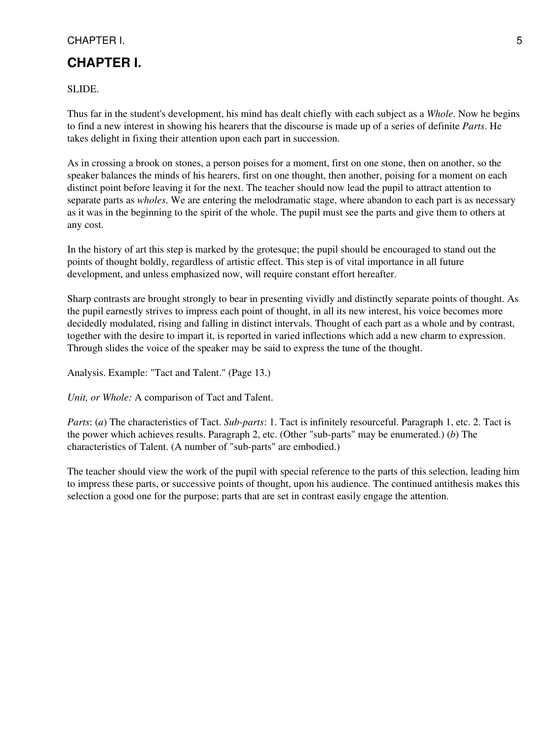# **CHAPTER I.**

SLIDE.

Thus far in the student's development, his mind has dealt chiefly with each subject as a *Whole*. Now he begins to find a new interest in showing his hearers that the discourse is made up of a series of definite *Parts*. He takes delight in fixing their attention upon each part in succession.

As in crossing a brook on stones, a person poises for a moment, first on one stone, then on another, so the speaker balances the minds of his hearers, first on one thought, then another, poising for a moment on each distinct point before leaving it for the next. The teacher should now lead the pupil to attract attention to separate parts as *wholes*. We are entering the melodramatic stage, where abandon to each part is as necessary as it was in the beginning to the spirit of the whole. The pupil must see the parts and give them to others at any cost.

In the history of art this step is marked by the grotesque; the pupil should be encouraged to stand out the points of thought boldly, regardless of artistic effect. This step is of vital importance in all future development, and unless emphasized now, will require constant effort hereafter.

Sharp contrasts are brought strongly to bear in presenting vividly and distinctly separate points of thought. As the pupil earnestly strives to impress each point of thought, in all its new interest, his voice becomes more decidedly modulated, rising and falling in distinct intervals. Thought of each part as a whole and by contrast, together with the desire to impart it, is reported in varied inflections which add a new charm to expression. Through slides the voice of the speaker may be said to express the tune of the thought.

Analysis. Example: "Tact and Talent." (Page 13.)

*Unit, or Whole:* A comparison of Tact and Talent.

*Parts*: (*a*) The characteristics of Tact. *Sub-parts*: 1. Tact is infinitely resourceful. Paragraph 1, etc. 2. Tact is the power which achieves results. Paragraph 2, etc. (Other "sub-parts" may be enumerated.) (*b*) The characteristics of Talent. (A number of "sub-parts" are embodied.)

The teacher should view the work of the pupil with special reference to the parts of this selection, leading him to impress these parts, or successive points of thought, upon his audience. The continued antithesis makes this selection a good one for the purpose; parts that are set in contrast easily engage the attention.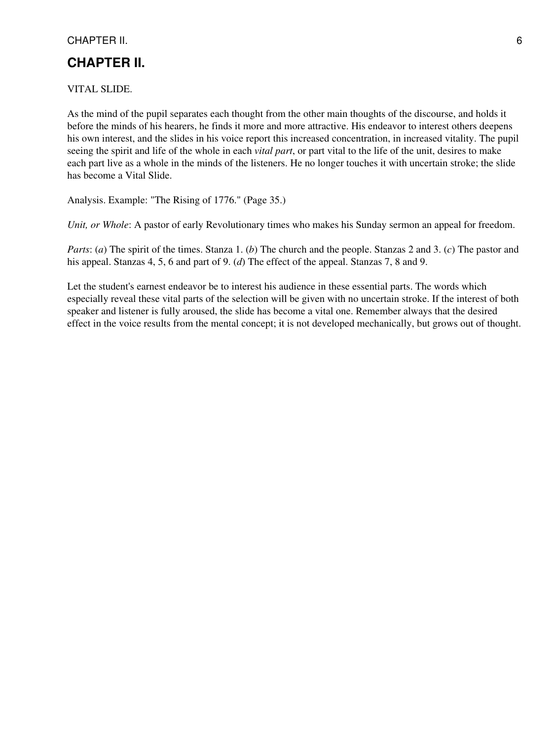# **CHAPTER II.**

VITAL SLIDE.

As the mind of the pupil separates each thought from the other main thoughts of the discourse, and holds it before the minds of his hearers, he finds it more and more attractive. His endeavor to interest others deepens his own interest, and the slides in his voice report this increased concentration, in increased vitality. The pupil seeing the spirit and life of the whole in each *vital part*, or part vital to the life of the unit, desires to make each part live as a whole in the minds of the listeners. He no longer touches it with uncertain stroke; the slide has become a Vital Slide.

Analysis. Example: "The Rising of 1776." (Page 35.)

*Unit, or Whole*: A pastor of early Revolutionary times who makes his Sunday sermon an appeal for freedom.

*Parts*: (*a*) The spirit of the times. Stanza 1. (*b*) The church and the people. Stanzas 2 and 3. (*c*) The pastor and his appeal. Stanzas 4, 5, 6 and part of 9. (*d*) The effect of the appeal. Stanzas 7, 8 and 9.

Let the student's earnest endeavor be to interest his audience in these essential parts. The words which especially reveal these vital parts of the selection will be given with no uncertain stroke. If the interest of both speaker and listener is fully aroused, the slide has become a vital one. Remember always that the desired effect in the voice results from the mental concept; it is not developed mechanically, but grows out of thought.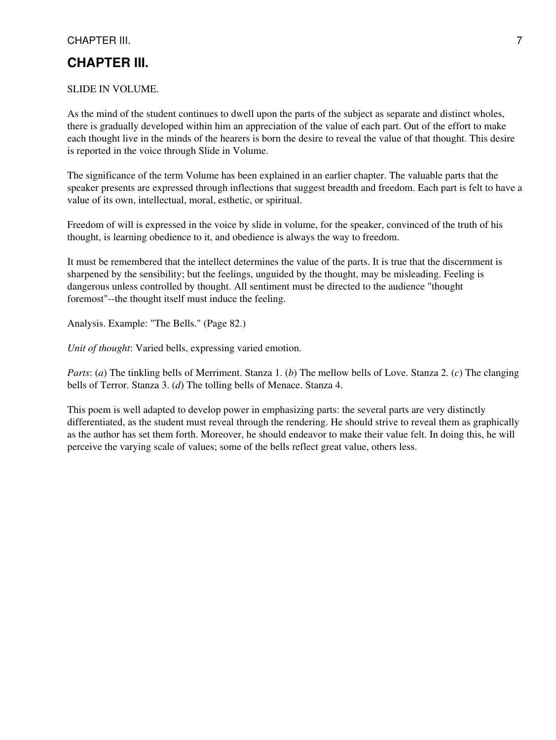## CHAPTER III. 2002. 2003. THE STATE STATE STATE STATE STATE STATE STATE STATE STATE STATE STATE STATE STATE STATE STATE STATE STATE STATE STATE STATE STATE STATE STATE STATE STATE STATE STATE STATE STATE STATE STATE STATE S

# **CHAPTER III.**

#### SLIDE IN VOLUME.

As the mind of the student continues to dwell upon the parts of the subject as separate and distinct wholes, there is gradually developed within him an appreciation of the value of each part. Out of the effort to make each thought live in the minds of the hearers is born the desire to reveal the value of that thought. This desire is reported in the voice through Slide in Volume.

The significance of the term Volume has been explained in an earlier chapter. The valuable parts that the speaker presents are expressed through inflections that suggest breadth and freedom. Each part is felt to have a value of its own, intellectual, moral, esthetic, or spiritual.

Freedom of will is expressed in the voice by slide in volume, for the speaker, convinced of the truth of his thought, is learning obedience to it, and obedience is always the way to freedom.

It must be remembered that the intellect determines the value of the parts. It is true that the discernment is sharpened by the sensibility; but the feelings, unguided by the thought, may be misleading. Feeling is dangerous unless controlled by thought. All sentiment must be directed to the audience "thought foremost"--the thought itself must induce the feeling.

Analysis. Example: "The Bells." (Page 82.)

*Unit of thought*: Varied bells, expressing varied emotion.

*Parts*: (*a*) The tinkling bells of Merriment. Stanza 1. (*b*) The mellow bells of Love. Stanza 2. (*c*) The clanging bells of Terror. Stanza 3. (*d*) The tolling bells of Menace. Stanza 4.

This poem is well adapted to develop power in emphasizing parts: the several parts are very distinctly differentiated, as the student must reveal through the rendering. He should strive to reveal them as graphically as the author has set them forth. Moreover, he should endeavor to make their value felt. In doing this, he will perceive the varying scale of values; some of the bells reflect great value, others less.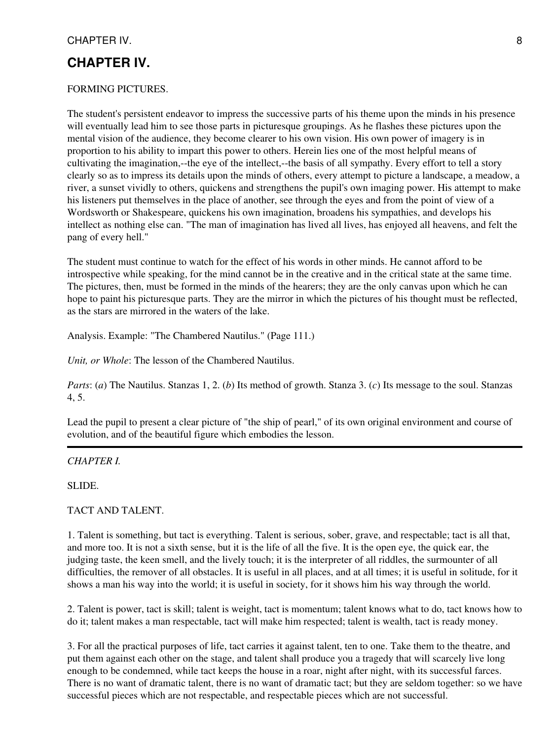# **CHAPTER IV.**

#### FORMING PICTURES.

The student's persistent endeavor to impress the successive parts of his theme upon the minds in his presence will eventually lead him to see those parts in picturesque groupings. As he flashes these pictures upon the mental vision of the audience, they become clearer to his own vision. His own power of imagery is in proportion to his ability to impart this power to others. Herein lies one of the most helpful means of cultivating the imagination,--the eye of the intellect,--the basis of all sympathy. Every effort to tell a story clearly so as to impress its details upon the minds of others, every attempt to picture a landscape, a meadow, a river, a sunset vividly to others, quickens and strengthens the pupil's own imaging power. His attempt to make his listeners put themselves in the place of another, see through the eyes and from the point of view of a Wordsworth or Shakespeare, quickens his own imagination, broadens his sympathies, and develops his intellect as nothing else can. "The man of imagination has lived all lives, has enjoyed all heavens, and felt the pang of every hell."

The student must continue to watch for the effect of his words in other minds. He cannot afford to be introspective while speaking, for the mind cannot be in the creative and in the critical state at the same time. The pictures, then, must be formed in the minds of the hearers; they are the only canvas upon which he can hope to paint his picturesque parts. They are the mirror in which the pictures of his thought must be reflected, as the stars are mirrored in the waters of the lake.

Analysis. Example: "The Chambered Nautilus." (Page 111.)

*Unit, or Whole*: The lesson of the Chambered Nautilus.

*Parts*: (*a*) The Nautilus. Stanzas 1, 2. (*b*) Its method of growth. Stanza 3. (*c*) Its message to the soul. Stanzas 4, 5.

Lead the pupil to present a clear picture of "the ship of pearl," of its own original environment and course of evolution, and of the beautiful figure which embodies the lesson.

#### *CHAPTER I.*

SLIDE.

TACT AND TALENT.

1. Talent is something, but tact is everything. Talent is serious, sober, grave, and respectable; tact is all that, and more too. It is not a sixth sense, but it is the life of all the five. It is the open eye, the quick ear, the judging taste, the keen smell, and the lively touch; it is the interpreter of all riddles, the surmounter of all difficulties, the remover of all obstacles. It is useful in all places, and at all times; it is useful in solitude, for it shows a man his way into the world; it is useful in society, for it shows him his way through the world.

2. Talent is power, tact is skill; talent is weight, tact is momentum; talent knows what to do, tact knows how to do it; talent makes a man respectable, tact will make him respected; talent is wealth, tact is ready money.

3. For all the practical purposes of life, tact carries it against talent, ten to one. Take them to the theatre, and put them against each other on the stage, and talent shall produce you a tragedy that will scarcely live long enough to be condemned, while tact keeps the house in a roar, night after night, with its successful farces. There is no want of dramatic talent, there is no want of dramatic tact; but they are seldom together: so we have successful pieces which are not respectable, and respectable pieces which are not successful.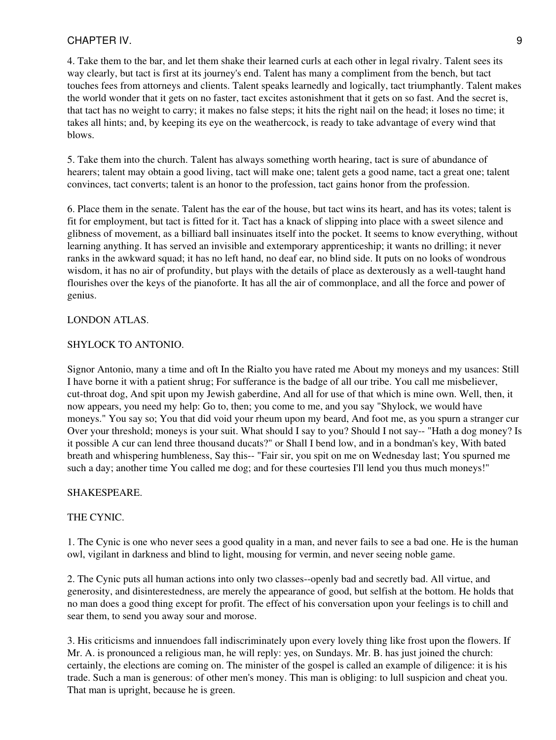4. Take them to the bar, and let them shake their learned curls at each other in legal rivalry. Talent sees its way clearly, but tact is first at its journey's end. Talent has many a compliment from the bench, but tact touches fees from attorneys and clients. Talent speaks learnedly and logically, tact triumphantly. Talent makes the world wonder that it gets on no faster, tact excites astonishment that it gets on so fast. And the secret is, that tact has no weight to carry; it makes no false steps; it hits the right nail on the head; it loses no time; it takes all hints; and, by keeping its eye on the weathercock, is ready to take advantage of every wind that blows.

5. Take them into the church. Talent has always something worth hearing, tact is sure of abundance of hearers; talent may obtain a good living, tact will make one; talent gets a good name, tact a great one; talent convinces, tact converts; talent is an honor to the profession, tact gains honor from the profession.

6. Place them in the senate. Talent has the ear of the house, but tact wins its heart, and has its votes; talent is fit for employment, but tact is fitted for it. Tact has a knack of slipping into place with a sweet silence and glibness of movement, as a billiard ball insinuates itself into the pocket. It seems to know everything, without learning anything. It has served an invisible and extemporary apprenticeship; it wants no drilling; it never ranks in the awkward squad; it has no left hand, no deaf ear, no blind side. It puts on no looks of wondrous wisdom, it has no air of profundity, but plays with the details of place as dexterously as a well-taught hand flourishes over the keys of the pianoforte. It has all the air of commonplace, and all the force and power of genius.

#### LONDON ATLAS.

#### SHYLOCK TO ANTONIO.

Signor Antonio, many a time and oft In the Rialto you have rated me About my moneys and my usances: Still I have borne it with a patient shrug; For sufferance is the badge of all our tribe. You call me misbeliever, cut-throat dog, And spit upon my Jewish gaberdine, And all for use of that which is mine own. Well, then, it now appears, you need my help: Go to, then; you come to me, and you say "Shylock, we would have moneys." You say so; You that did void your rheum upon my beard, And foot me, as you spurn a stranger cur Over your threshold; moneys is your suit. What should I say to you? Should I not say-- "Hath a dog money? Is it possible A cur can lend three thousand ducats?" or Shall I bend low, and in a bondman's key, With bated breath and whispering humbleness, Say this-- "Fair sir, you spit on me on Wednesday last; You spurned me such a day; another time You called me dog; and for these courtesies I'll lend you thus much moneys!"

## SHAKESPEARE.

## THE CYNIC.

1. The Cynic is one who never sees a good quality in a man, and never fails to see a bad one. He is the human owl, vigilant in darkness and blind to light, mousing for vermin, and never seeing noble game.

2. The Cynic puts all human actions into only two classes--openly bad and secretly bad. All virtue, and generosity, and disinterestedness, are merely the appearance of good, but selfish at the bottom. He holds that no man does a good thing except for profit. The effect of his conversation upon your feelings is to chill and sear them, to send you away sour and morose.

3. His criticisms and innuendoes fall indiscriminately upon every lovely thing like frost upon the flowers. If Mr. A. is pronounced a religious man, he will reply: yes, on Sundays. Mr. B. has just joined the church: certainly, the elections are coming on. The minister of the gospel is called an example of diligence: it is his trade. Such a man is generous: of other men's money. This man is obliging: to lull suspicion and cheat you. That man is upright, because he is green.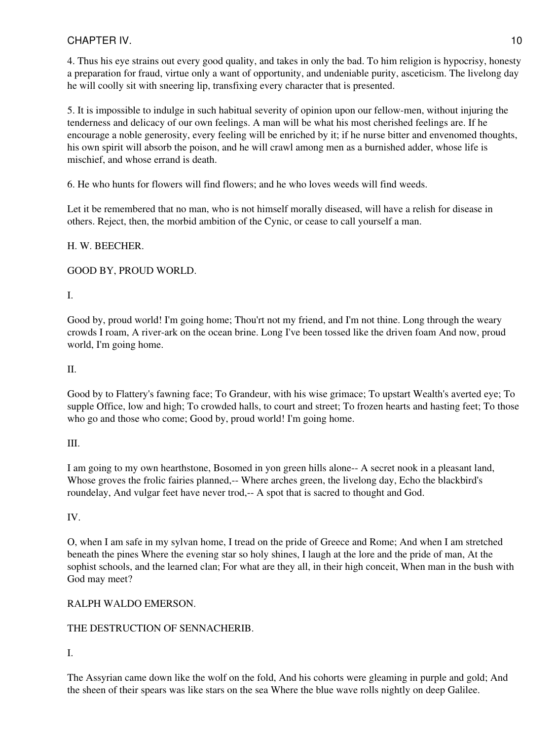4. Thus his eye strains out every good quality, and takes in only the bad. To him religion is hypocrisy, honesty a preparation for fraud, virtue only a want of opportunity, and undeniable purity, asceticism. The livelong day he will coolly sit with sneering lip, transfixing every character that is presented.

5. It is impossible to indulge in such habitual severity of opinion upon our fellow-men, without injuring the tenderness and delicacy of our own feelings. A man will be what his most cherished feelings are. If he encourage a noble generosity, every feeling will be enriched by it; if he nurse bitter and envenomed thoughts, his own spirit will absorb the poison, and he will crawl among men as a burnished adder, whose life is mischief, and whose errand is death.

6. He who hunts for flowers will find flowers; and he who loves weeds will find weeds.

Let it be remembered that no man, who is not himself morally diseased, will have a relish for disease in others. Reject, then, the morbid ambition of the Cynic, or cease to call yourself a man.

## H. W. BEECHER.

GOOD BY, PROUD WORLD.

# I.

Good by, proud world! I'm going home; Thou'rt not my friend, and I'm not thine. Long through the weary crowds I roam, A river-ark on the ocean brine. Long I've been tossed like the driven foam And now, proud world, I'm going home.

## II.

Good by to Flattery's fawning face; To Grandeur, with his wise grimace; To upstart Wealth's averted eye; To supple Office, low and high; To crowded halls, to court and street; To frozen hearts and hasting feet; To those who go and those who come; Good by, proud world! I'm going home.

## III.

I am going to my own hearthstone, Bosomed in yon green hills alone-- A secret nook in a pleasant land, Whose groves the frolic fairies planned,-- Where arches green, the livelong day, Echo the blackbird's roundelay, And vulgar feet have never trod,-- A spot that is sacred to thought and God.

## IV.

O, when I am safe in my sylvan home, I tread on the pride of Greece and Rome; And when I am stretched beneath the pines Where the evening star so holy shines, I laugh at the lore and the pride of man, At the sophist schools, and the learned clan; For what are they all, in their high conceit, When man in the bush with God may meet?

# RALPH WALDO EMERSON.

# THE DESTRUCTION OF SENNACHERIB.

# I.

The Assyrian came down like the wolf on the fold, And his cohorts were gleaming in purple and gold; And the sheen of their spears was like stars on the sea Where the blue wave rolls nightly on deep Galilee.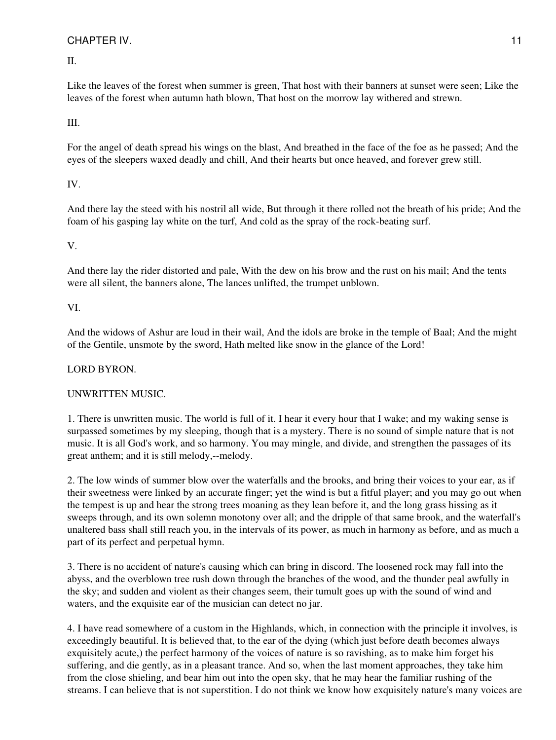# CHAPTER IV. 2002. THE STREET STREET IN THE STREET IN THE STREET IN THE STREET IN THE STREET IN THE STREET IN THE STREET IN THE STREET IN THE STREET IN THE STREET IN THE STREET IN THE STREET IN THE STREET IN THE STREET IN T

II.

Like the leaves of the forest when summer is green, That host with their banners at sunset were seen; Like the leaves of the forest when autumn hath blown, That host on the morrow lay withered and strewn.

# III.

For the angel of death spread his wings on the blast, And breathed in the face of the foe as he passed; And the eyes of the sleepers waxed deadly and chill, And their hearts but once heaved, and forever grew still.

# IV.

And there lay the steed with his nostril all wide, But through it there rolled not the breath of his pride; And the foam of his gasping lay white on the turf, And cold as the spray of the rock-beating surf.

# V.

And there lay the rider distorted and pale, With the dew on his brow and the rust on his mail; And the tents were all silent, the banners alone, The lances unlifted, the trumpet unblown.

# VI.

And the widows of Ashur are loud in their wail, And the idols are broke in the temple of Baal; And the might of the Gentile, unsmote by the sword, Hath melted like snow in the glance of the Lord!

## LORD BYRON.

# UNWRITTEN MUSIC.

1. There is unwritten music. The world is full of it. I hear it every hour that I wake; and my waking sense is surpassed sometimes by my sleeping, though that is a mystery. There is no sound of simple nature that is not music. It is all God's work, and so harmony. You may mingle, and divide, and strengthen the passages of its great anthem; and it is still melody,--melody.

2. The low winds of summer blow over the waterfalls and the brooks, and bring their voices to your ear, as if their sweetness were linked by an accurate finger; yet the wind is but a fitful player; and you may go out when the tempest is up and hear the strong trees moaning as they lean before it, and the long grass hissing as it sweeps through, and its own solemn monotony over all; and the dripple of that same brook, and the waterfall's unaltered bass shall still reach you, in the intervals of its power, as much in harmony as before, and as much a part of its perfect and perpetual hymn.

3. There is no accident of nature's causing which can bring in discord. The loosened rock may fall into the abyss, and the overblown tree rush down through the branches of the wood, and the thunder peal awfully in the sky; and sudden and violent as their changes seem, their tumult goes up with the sound of wind and waters, and the exquisite ear of the musician can detect no jar.

4. I have read somewhere of a custom in the Highlands, which, in connection with the principle it involves, is exceedingly beautiful. It is believed that, to the ear of the dying (which just before death becomes always exquisitely acute,) the perfect harmony of the voices of nature is so ravishing, as to make him forget his suffering, and die gently, as in a pleasant trance. And so, when the last moment approaches, they take him from the close shieling, and bear him out into the open sky, that he may hear the familiar rushing of the streams. I can believe that is not superstition. I do not think we know how exquisitely nature's many voices are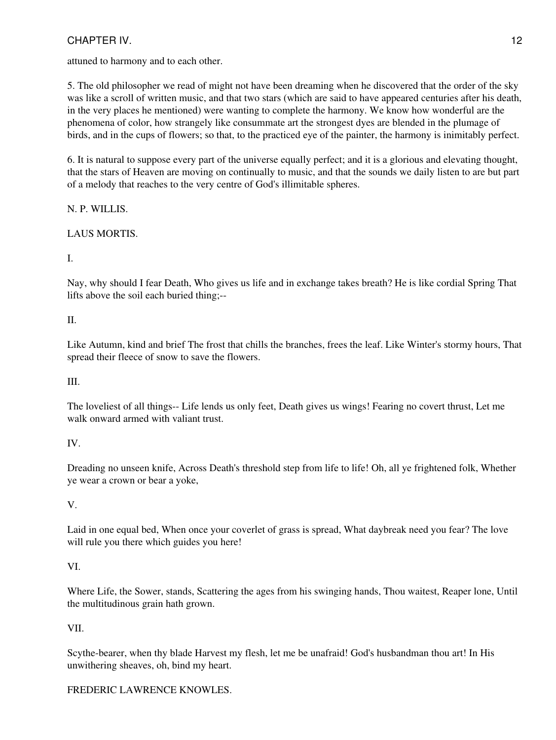# CHAPTER IV. 2012 12

attuned to harmony and to each other.

5. The old philosopher we read of might not have been dreaming when he discovered that the order of the sky was like a scroll of written music, and that two stars (which are said to have appeared centuries after his death, in the very places he mentioned) were wanting to complete the harmony. We know how wonderful are the phenomena of color, how strangely like consummate art the strongest dyes are blended in the plumage of birds, and in the cups of flowers; so that, to the practiced eye of the painter, the harmony is inimitably perfect.

6. It is natural to suppose every part of the universe equally perfect; and it is a glorious and elevating thought, that the stars of Heaven are moving on continually to music, and that the sounds we daily listen to are but part of a melody that reaches to the very centre of God's illimitable spheres.

N. P. WILLIS.

# LAUS MORTIS.

# I.

Nay, why should I fear Death, Who gives us life and in exchange takes breath? He is like cordial Spring That lifts above the soil each buried thing;--

# II.

Like Autumn, kind and brief The frost that chills the branches, frees the leaf. Like Winter's stormy hours, That spread their fleece of snow to save the flowers.

# III.

The loveliest of all things-- Life lends us only feet, Death gives us wings! Fearing no covert thrust, Let me walk onward armed with valiant trust.

# IV.

Dreading no unseen knife, Across Death's threshold step from life to life! Oh, all ye frightened folk, Whether ye wear a crown or bear a yoke,

# V.

Laid in one equal bed, When once your coverlet of grass is spread, What daybreak need you fear? The love will rule you there which guides you here!

# VI.

Where Life, the Sower, stands, Scattering the ages from his swinging hands, Thou waitest, Reaper lone, Until the multitudinous grain hath grown.

# VII.

Scythe-bearer, when thy blade Harvest my flesh, let me be unafraid! God's husbandman thou art! In His unwithering sheaves, oh, bind my heart.

# FREDERIC LAWRENCE KNOWLES.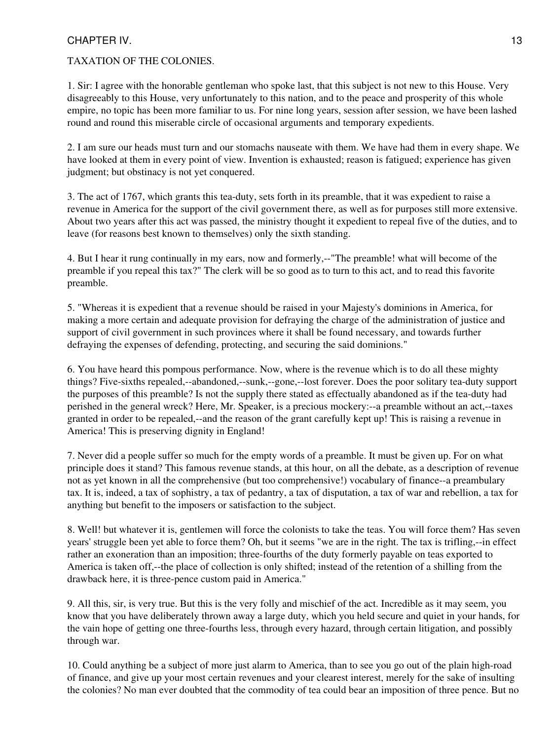# CHAPTER IV. 2002. THE SERVICE SERVICE SERVICE SERVICE SERVICE SERVICE SERVICE SERVICE SERVICE SERVICE SERVICE S

## TAXATION OF THE COLONIES.

1. Sir: I agree with the honorable gentleman who spoke last, that this subject is not new to this House. Very disagreeably to this House, very unfortunately to this nation, and to the peace and prosperity of this whole empire, no topic has been more familiar to us. For nine long years, session after session, we have been lashed round and round this miserable circle of occasional arguments and temporary expedients.

2. I am sure our heads must turn and our stomachs nauseate with them. We have had them in every shape. We have looked at them in every point of view. Invention is exhausted; reason is fatigued; experience has given judgment; but obstinacy is not yet conquered.

3. The act of 1767, which grants this tea-duty, sets forth in its preamble, that it was expedient to raise a revenue in America for the support of the civil government there, as well as for purposes still more extensive. About two years after this act was passed, the ministry thought it expedient to repeal five of the duties, and to leave (for reasons best known to themselves) only the sixth standing.

4. But I hear it rung continually in my ears, now and formerly,--"The preamble! what will become of the preamble if you repeal this tax?" The clerk will be so good as to turn to this act, and to read this favorite preamble.

5. "Whereas it is expedient that a revenue should be raised in your Majesty's dominions in America, for making a more certain and adequate provision for defraying the charge of the administration of justice and support of civil government in such provinces where it shall be found necessary, and towards further defraying the expenses of defending, protecting, and securing the said dominions."

6. You have heard this pompous performance. Now, where is the revenue which is to do all these mighty things? Five-sixths repealed,--abandoned,--sunk,--gone,--lost forever. Does the poor solitary tea-duty support the purposes of this preamble? Is not the supply there stated as effectually abandoned as if the tea-duty had perished in the general wreck? Here, Mr. Speaker, is a precious mockery:--a preamble without an act,--taxes granted in order to be repealed,--and the reason of the grant carefully kept up! This is raising a revenue in America! This is preserving dignity in England!

7. Never did a people suffer so much for the empty words of a preamble. It must be given up. For on what principle does it stand? This famous revenue stands, at this hour, on all the debate, as a description of revenue not as yet known in all the comprehensive (but too comprehensive!) vocabulary of finance--a preambulary tax. It is, indeed, a tax of sophistry, a tax of pedantry, a tax of disputation, a tax of war and rebellion, a tax for anything but benefit to the imposers or satisfaction to the subject.

8. Well! but whatever it is, gentlemen will force the colonists to take the teas. You will force them? Has seven years' struggle been yet able to force them? Oh, but it seems "we are in the right. The tax is trifling,--in effect rather an exoneration than an imposition; three-fourths of the duty formerly payable on teas exported to America is taken off,--the place of collection is only shifted; instead of the retention of a shilling from the drawback here, it is three-pence custom paid in America."

9. All this, sir, is very true. But this is the very folly and mischief of the act. Incredible as it may seem, you know that you have deliberately thrown away a large duty, which you held secure and quiet in your hands, for the vain hope of getting one three-fourths less, through every hazard, through certain litigation, and possibly through war.

10. Could anything be a subject of more just alarm to America, than to see you go out of the plain high-road of finance, and give up your most certain revenues and your clearest interest, merely for the sake of insulting the colonies? No man ever doubted that the commodity of tea could bear an imposition of three pence. But no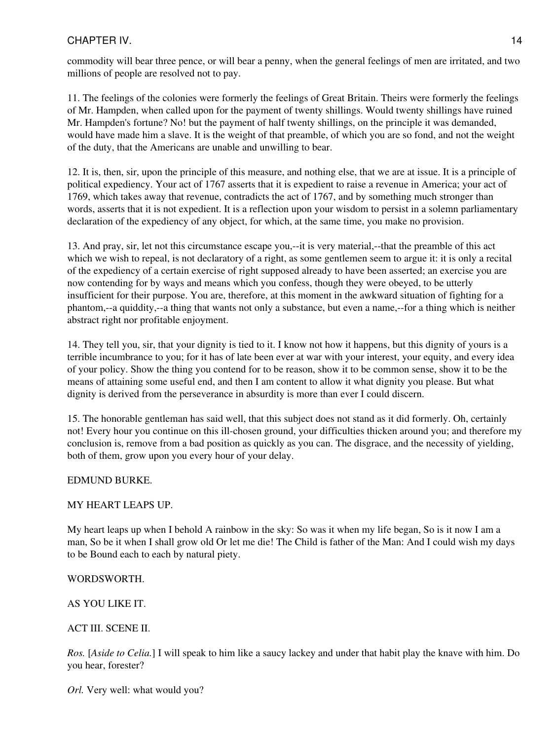# CHAPTER IV. 2002. THE STREET STREET IN THE STREET IN THE STREET IN THE STREET IN THE STREET IN THE STREET IN THE STREET IN THE STREET IN THE STREET IN THE STREET IN THE STREET IN THE STREET IN THE STREET IN THE STREET IN T

commodity will bear three pence, or will bear a penny, when the general feelings of men are irritated, and two millions of people are resolved not to pay.

11. The feelings of the colonies were formerly the feelings of Great Britain. Theirs were formerly the feelings of Mr. Hampden, when called upon for the payment of twenty shillings. Would twenty shillings have ruined Mr. Hampden's fortune? No! but the payment of half twenty shillings, on the principle it was demanded, would have made him a slave. It is the weight of that preamble, of which you are so fond, and not the weight of the duty, that the Americans are unable and unwilling to bear.

12. It is, then, sir, upon the principle of this measure, and nothing else, that we are at issue. It is a principle of political expediency. Your act of 1767 asserts that it is expedient to raise a revenue in America; your act of 1769, which takes away that revenue, contradicts the act of 1767, and by something much stronger than words, asserts that it is not expedient. It is a reflection upon your wisdom to persist in a solemn parliamentary declaration of the expediency of any object, for which, at the same time, you make no provision.

13. And pray, sir, let not this circumstance escape you,--it is very material,--that the preamble of this act which we wish to repeal, is not declaratory of a right, as some gentlemen seem to argue it: it is only a recital of the expediency of a certain exercise of right supposed already to have been asserted; an exercise you are now contending for by ways and means which you confess, though they were obeyed, to be utterly insufficient for their purpose. You are, therefore, at this moment in the awkward situation of fighting for a phantom,--a quiddity,--a thing that wants not only a substance, but even a name,--for a thing which is neither abstract right nor profitable enjoyment.

14. They tell you, sir, that your dignity is tied to it. I know not how it happens, but this dignity of yours is a terrible incumbrance to you; for it has of late been ever at war with your interest, your equity, and every idea of your policy. Show the thing you contend for to be reason, show it to be common sense, show it to be the means of attaining some useful end, and then I am content to allow it what dignity you please. But what dignity is derived from the perseverance in absurdity is more than ever I could discern.

15. The honorable gentleman has said well, that this subject does not stand as it did formerly. Oh, certainly not! Every hour you continue on this ill-chosen ground, your difficulties thicken around you; and therefore my conclusion is, remove from a bad position as quickly as you can. The disgrace, and the necessity of yielding, both of them, grow upon you every hour of your delay.

# EDMUND BURKE.

# MY HEART LEAPS UP.

My heart leaps up when I behold A rainbow in the sky: So was it when my life began, So is it now I am a man, So be it when I shall grow old Or let me die! The Child is father of the Man: And I could wish my days to be Bound each to each by natural piety.

## WORDSWORTH.

# AS YOU LIKE IT.

## ACT III. SCENE II.

*Ros.* [*Aside to Celia.*] I will speak to him like a saucy lackey and under that habit play the knave with him. Do you hear, forester?

*Orl.* Very well: what would you?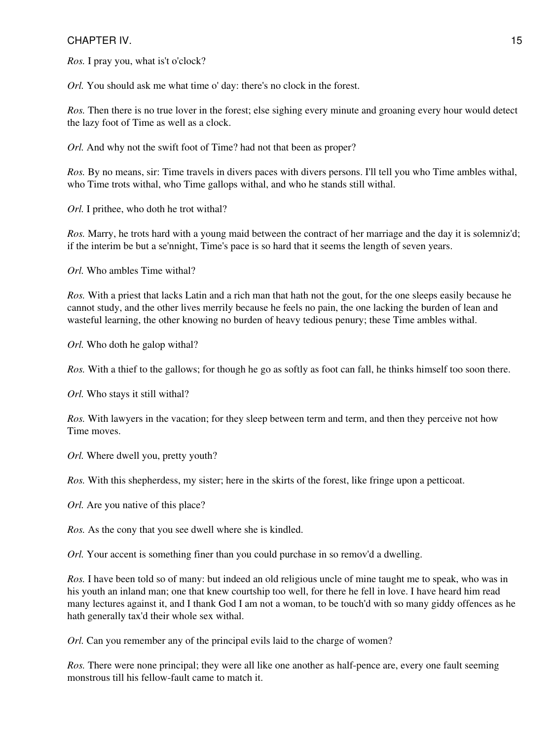## CHAPTER IV. 2002. THE SERVICE SERVICE SERVICE SERVICE SERVICE SERVICE SERVICE SERVICE SERVICE SERVICE SERVICE S

*Ros.* I pray you, what is't o'clock?

*Orl.* You should ask me what time o' day: there's no clock in the forest.

*Ros.* Then there is no true lover in the forest; else sighing every minute and groaning every hour would detect the lazy foot of Time as well as a clock.

*Orl.* And why not the swift foot of Time? had not that been as proper?

*Ros.* By no means, sir: Time travels in divers paces with divers persons. I'll tell you who Time ambles withal, who Time trots withal, who Time gallops withal, and who he stands still withal.

*Orl.* I prithee, who doth he trot withal?

*Ros.* Marry, he trots hard with a young maid between the contract of her marriage and the day it is solemniz'd; if the interim be but a se'nnight, Time's pace is so hard that it seems the length of seven years.

*Orl.* Who ambles Time withal?

*Ros.* With a priest that lacks Latin and a rich man that hath not the gout, for the one sleeps easily because he cannot study, and the other lives merrily because he feels no pain, the one lacking the burden of lean and wasteful learning, the other knowing no burden of heavy tedious penury; these Time ambles withal.

*Orl.* Who doth he galop withal?

*Ros.* With a thief to the gallows; for though he go as softly as foot can fall, he thinks himself too soon there.

*Orl.* Who stays it still withal?

*Ros.* With lawyers in the vacation; for they sleep between term and term, and then they perceive not how Time moves.

*Orl.* Where dwell you, pretty youth?

*Ros.* With this shepherdess, my sister; here in the skirts of the forest, like fringe upon a petticoat.

*Orl.* Are you native of this place?

*Ros.* As the cony that you see dwell where she is kindled.

*Orl.* Your accent is something finer than you could purchase in so remov'd a dwelling.

*Ros.* I have been told so of many: but indeed an old religious uncle of mine taught me to speak, who was in his youth an inland man; one that knew courtship too well, for there he fell in love. I have heard him read many lectures against it, and I thank God I am not a woman, to be touch'd with so many giddy offences as he hath generally tax'd their whole sex withal.

*Orl.* Can you remember any of the principal evils laid to the charge of women?

*Ros.* There were none principal; they were all like one another as half-pence are, every one fault seeming monstrous till his fellow-fault came to match it.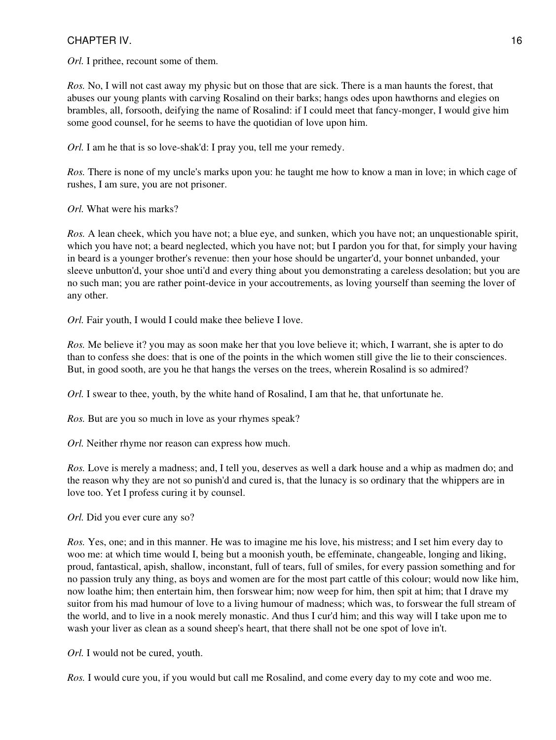# CHAPTER IV. 2002. THE STREET STREET IS A STREET WAS SERIES FOR A STREET IS A STREET IS A STREET IS A STREET IS A STREET IS A STREET IS A STREET IS A STREET IS A STREET IS A STREET IS A STREET IS A STREET IS A STREET IS A S

*Orl.* I prithee, recount some of them.

*Ros.* No, I will not cast away my physic but on those that are sick. There is a man haunts the forest, that abuses our young plants with carving Rosalind on their barks; hangs odes upon hawthorns and elegies on brambles, all, forsooth, deifying the name of Rosalind: if I could meet that fancy-monger, I would give him some good counsel, for he seems to have the quotidian of love upon him.

*Orl.* I am he that is so love-shak'd: I pray you, tell me your remedy.

*Ros.* There is none of my uncle's marks upon you: he taught me how to know a man in love; in which cage of rushes, I am sure, you are not prisoner.

*Orl.* What were his marks?

*Ros.* A lean cheek, which you have not; a blue eye, and sunken, which you have not; an unquestionable spirit, which you have not; a beard neglected, which you have not; but I pardon you for that, for simply your having in beard is a younger brother's revenue: then your hose should be ungarter'd, your bonnet unbanded, your sleeve unbutton'd, your shoe unti'd and every thing about you demonstrating a careless desolation; but you are no such man; you are rather point-device in your accoutrements, as loving yourself than seeming the lover of any other.

*Orl.* Fair youth, I would I could make thee believe I love.

*Ros.* Me believe it? you may as soon make her that you love believe it; which, I warrant, she is apter to do than to confess she does: that is one of the points in the which women still give the lie to their consciences. But, in good sooth, are you he that hangs the verses on the trees, wherein Rosalind is so admired?

*Orl.* I swear to thee, youth, by the white hand of Rosalind, I am that he, that unfortunate he.

*Ros.* But are you so much in love as your rhymes speak?

*Orl.* Neither rhyme nor reason can express how much.

*Ros.* Love is merely a madness; and, I tell you, deserves as well a dark house and a whip as madmen do; and the reason why they are not so punish'd and cured is, that the lunacy is so ordinary that the whippers are in love too. Yet I profess curing it by counsel.

*Orl.* Did you ever cure any so?

*Ros.* Yes, one; and in this manner. He was to imagine me his love, his mistress; and I set him every day to woo me: at which time would I, being but a moonish youth, be effeminate, changeable, longing and liking, proud, fantastical, apish, shallow, inconstant, full of tears, full of smiles, for every passion something and for no passion truly any thing, as boys and women are for the most part cattle of this colour; would now like him, now loathe him; then entertain him, then forswear him; now weep for him, then spit at him; that I drave my suitor from his mad humour of love to a living humour of madness; which was, to forswear the full stream of the world, and to live in a nook merely monastic. And thus I cur'd him; and this way will I take upon me to wash your liver as clean as a sound sheep's heart, that there shall not be one spot of love in't.

*Orl.* I would not be cured, youth.

*Ros.* I would cure you, if you would but call me Rosalind, and come every day to my cote and woo me.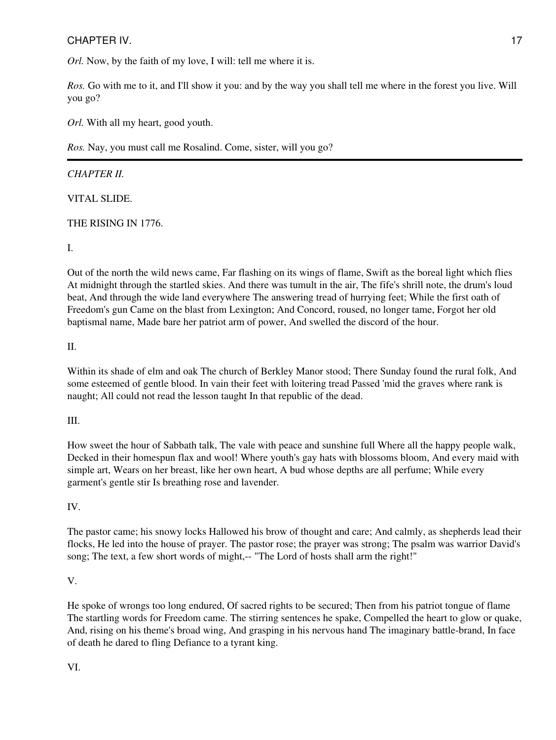# CHAPTER IV. 2002 17

*Orl.* Now, by the faith of my love, I will: tell me where it is.

*Ros.* Go with me to it, and I'll show it you: and by the way you shall tell me where in the forest you live. Will you go?

*Orl.* With all my heart, good youth.

*Ros.* Nay, you must call me Rosalind. Come, sister, will you go?

# *CHAPTER II.*

VITAL SLIDE.

# THE RISING IN 1776.

I.

Out of the north the wild news came, Far flashing on its wings of flame, Swift as the boreal light which flies At midnight through the startled skies. And there was tumult in the air, The fife's shrill note, the drum's loud beat, And through the wide land everywhere The answering tread of hurrying feet; While the first oath of Freedom's gun Came on the blast from Lexington; And Concord, roused, no longer tame, Forgot her old baptismal name, Made bare her patriot arm of power, And swelled the discord of the hour.

II.

Within its shade of elm and oak The church of Berkley Manor stood; There Sunday found the rural folk, And some esteemed of gentle blood. In vain their feet with loitering tread Passed 'mid the graves where rank is naught; All could not read the lesson taught In that republic of the dead.

III.

How sweet the hour of Sabbath talk, The vale with peace and sunshine full Where all the happy people walk, Decked in their homespun flax and wool! Where youth's gay hats with blossoms bloom, And every maid with simple art, Wears on her breast, like her own heart, A bud whose depths are all perfume; While every garment's gentle stir Is breathing rose and lavender.

# IV.

The pastor came; his snowy locks Hallowed his brow of thought and care; And calmly, as shepherds lead their flocks, He led into the house of prayer. The pastor rose; the prayer was strong; The psalm was warrior David's song; The text, a few short words of might,-- "The Lord of hosts shall arm the right!"

# V.

He spoke of wrongs too long endured, Of sacred rights to be secured; Then from his patriot tongue of flame The startling words for Freedom came. The stirring sentences he spake, Compelled the heart to glow or quake, And, rising on his theme's broad wing, And grasping in his nervous hand The imaginary battle-brand, In face of death he dared to fling Defiance to a tyrant king.

VI.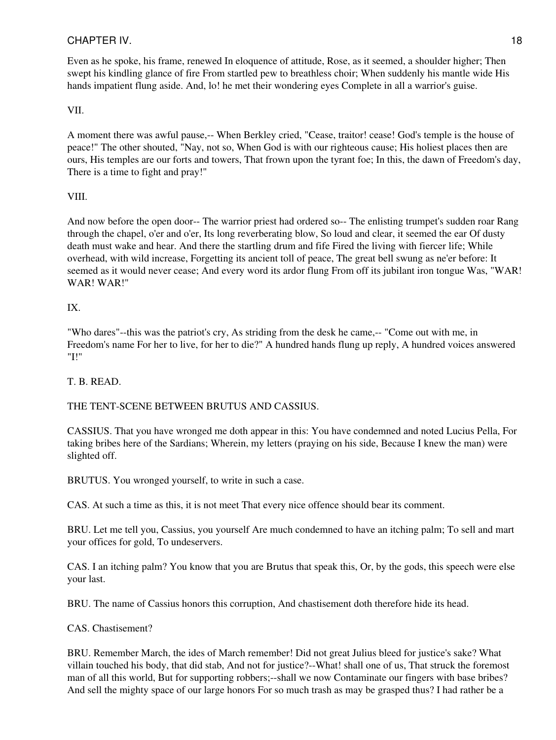# CHAPTER IV. 2002 18

Even as he spoke, his frame, renewed In eloquence of attitude, Rose, as it seemed, a shoulder higher; Then swept his kindling glance of fire From startled pew to breathless choir; When suddenly his mantle wide His hands impatient flung aside. And, lo! he met their wondering eyes Complete in all a warrior's guise.

# VII.

A moment there was awful pause,-- When Berkley cried, "Cease, traitor! cease! God's temple is the house of peace!" The other shouted, "Nay, not so, When God is with our righteous cause; His holiest places then are ours, His temples are our forts and towers, That frown upon the tyrant foe; In this, the dawn of Freedom's day, There is a time to fight and pray!"

## VIII.

And now before the open door-- The warrior priest had ordered so-- The enlisting trumpet's sudden roar Rang through the chapel, o'er and o'er, Its long reverberating blow, So loud and clear, it seemed the ear Of dusty death must wake and hear. And there the startling drum and fife Fired the living with fiercer life; While overhead, with wild increase, Forgetting its ancient toll of peace, The great bell swung as ne'er before: It seemed as it would never cease; And every word its ardor flung From off its jubilant iron tongue Was, "WAR! WAR! WAR!"

# IX.

"Who dares"--this was the patriot's cry, As striding from the desk he came,-- "Come out with me, in Freedom's name For her to live, for her to die?" A hundred hands flung up reply, A hundred voices answered "I!"

## T. B. READ.

# THE TENT-SCENE BETWEEN BRUTUS AND CASSIUS.

CASSIUS. That you have wronged me doth appear in this: You have condemned and noted Lucius Pella, For taking bribes here of the Sardians; Wherein, my letters (praying on his side, Because I knew the man) were slighted off.

BRUTUS. You wronged yourself, to write in such a case.

CAS. At such a time as this, it is not meet That every nice offence should bear its comment.

BRU. Let me tell you, Cassius, you yourself Are much condemned to have an itching palm; To sell and mart your offices for gold, To undeservers.

CAS. I an itching palm? You know that you are Brutus that speak this, Or, by the gods, this speech were else your last.

BRU. The name of Cassius honors this corruption, And chastisement doth therefore hide its head.

## CAS. Chastisement?

BRU. Remember March, the ides of March remember! Did not great Julius bleed for justice's sake? What villain touched his body, that did stab, And not for justice?--What! shall one of us, That struck the foremost man of all this world, But for supporting robbers;--shall we now Contaminate our fingers with base bribes? And sell the mighty space of our large honors For so much trash as may be grasped thus? I had rather be a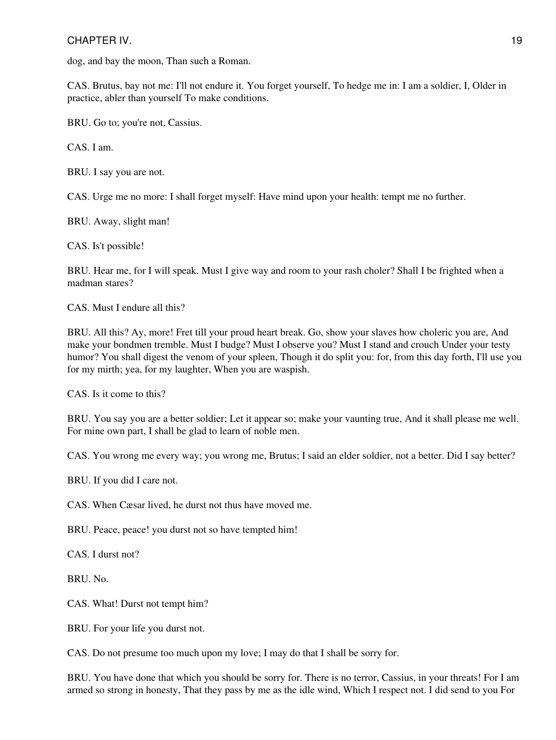# CHAPTER IV. 2002 19

dog, and bay the moon, Than such a Roman.

CAS. Brutus, bay not me: I'll not endure it. You forget yourself, To hedge me in: I am a soldier, I, Older in practice, abler than yourself To make conditions.

BRU. Go to; you're not, Cassius.

CAS. I am.

BRU. I say you are not.

CAS. Urge me no more: I shall forget myself: Have mind upon your health: tempt me no further.

BRU. Away, slight man!

CAS. Is't possible!

BRU. Hear me, for I will speak. Must I give way and room to your rash choler? Shall I be frighted when a madman stares?

CAS. Must I endure all this?

BRU. All this? Ay, more! Fret till your proud heart break. Go, show your slaves how choleric you are, And make your bondmen tremble. Must I budge? Must I observe you? Must I stand and crouch Under your testy humor? You shall digest the venom of your spleen, Though it do split you: for, from this day forth, I'll use you for my mirth; yea, for my laughter, When you are waspish.

CAS. Is it come to this?

BRU. You say you are a better soldier; Let it appear so; make your vaunting true, And it shall please me well. For mine own part, I shall be glad to learn of noble men.

CAS. You wrong me every way; you wrong me, Brutus; I said an elder soldier, not a better. Did I say better?

BRU. If you did I care not.

CAS. When Cæsar lived, he durst not thus have moved me.

BRU. Peace, peace! you durst not so have tempted him!

CAS. I durst not?

BRU. No.

CAS. What! Durst not tempt him?

BRU. For your life you durst not.

CAS. Do not presume too much upon my love; I may do that I shall be sorry for.

BRU. You have done that which you should be sorry for. There is no terror, Cassius, in your threats! For I am armed so strong in honesty, That they pass by me as the idle wind, Which I respect not. I did send to you For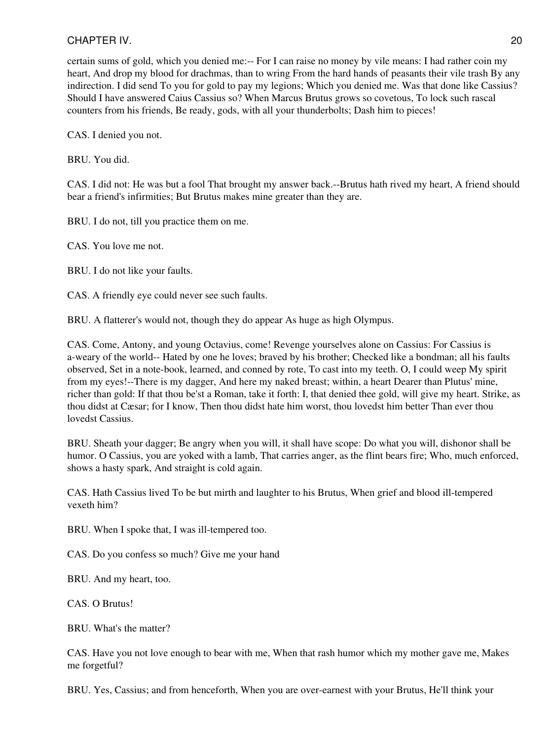certain sums of gold, which you denied me:-- For I can raise no money by vile means: I had rather coin my heart, And drop my blood for drachmas, than to wring From the hard hands of peasants their vile trash By any indirection. I did send To you for gold to pay my legions; Which you denied me. Was that done like Cassius? Should I have answered Caius Cassius so? When Marcus Brutus grows so covetous, To lock such rascal counters from his friends, Be ready, gods, with all your thunderbolts; Dash him to pieces!

CAS. I denied you not.

BRU. You did.

CAS. I did not: He was but a fool That brought my answer back.--Brutus hath rived my heart, A friend should bear a friend's infirmities; But Brutus makes mine greater than they are.

BRU. I do not, till you practice them on me.

CAS. You love me not.

BRU. I do not like your faults.

CAS. A friendly eye could never see such faults.

BRU. A flatterer's would not, though they do appear As huge as high Olympus.

CAS. Come, Antony, and young Octavius, come! Revenge yourselves alone on Cassius: For Cassius is a-weary of the world-- Hated by one he loves; braved by his brother; Checked like a bondman; all his faults observed, Set in a note-book, learned, and conned by rote, To cast into my teeth. O, I could weep My spirit from my eyes!--There is my dagger, And here my naked breast; within, a heart Dearer than Plutus' mine, richer than gold: If that thou be'st a Roman, take it forth: I, that denied thee gold, will give my heart. Strike, as thou didst at Cæsar; for I know, Then thou didst hate him worst, thou lovedst him better Than ever thou lovedst Cassius.

BRU. Sheath your dagger; Be angry when you will, it shall have scope: Do what you will, dishonor shall be humor. O Cassius, you are yoked with a lamb, That carries anger, as the flint bears fire; Who, much enforced, shows a hasty spark, And straight is cold again.

CAS. Hath Cassius lived To be but mirth and laughter to his Brutus, When grief and blood ill-tempered vexeth him?

BRU. When I spoke that, I was ill-tempered too.

CAS. Do you confess so much? Give me your hand

BRU. And my heart, too.

CAS. O Brutus!

BRU. What's the matter?

CAS. Have you not love enough to bear with me, When that rash humor which my mother gave me, Makes me forgetful?

BRU. Yes, Cassius; and from henceforth, When you are over-earnest with your Brutus, He'll think your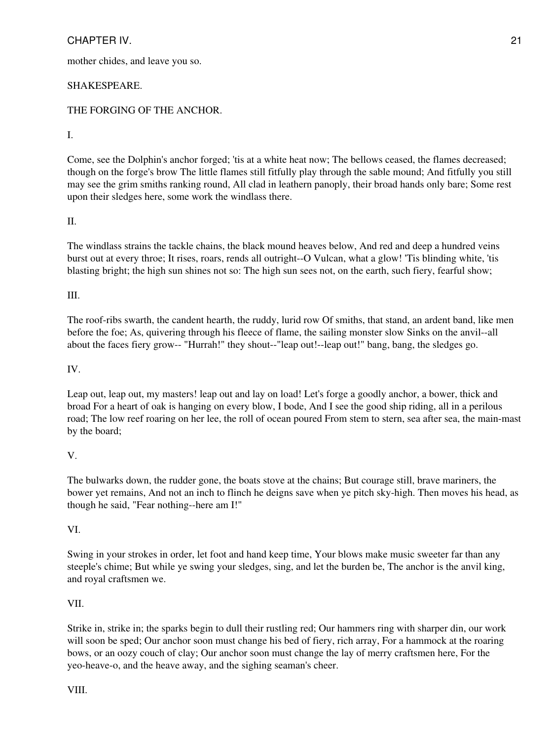mother chides, and leave you so.

## SHAKESPEARE.

# THE FORGING OF THE ANCHOR.

#### I.

Come, see the Dolphin's anchor forged; 'tis at a white heat now; The bellows ceased, the flames decreased; though on the forge's brow The little flames still fitfully play through the sable mound; And fitfully you still may see the grim smiths ranking round, All clad in leathern panoply, their broad hands only bare; Some rest upon their sledges here, some work the windlass there.

## II.

The windlass strains the tackle chains, the black mound heaves below, And red and deep a hundred veins burst out at every throe; It rises, roars, rends all outright--O Vulcan, what a glow! 'Tis blinding white, 'tis blasting bright; the high sun shines not so: The high sun sees not, on the earth, such fiery, fearful show;

## III.

The roof-ribs swarth, the candent hearth, the ruddy, lurid row Of smiths, that stand, an ardent band, like men before the foe; As, quivering through his fleece of flame, the sailing monster slow Sinks on the anvil--all about the faces fiery grow-- "Hurrah!" they shout--"leap out!--leap out!" bang, bang, the sledges go.

## IV.

Leap out, leap out, my masters! leap out and lay on load! Let's forge a goodly anchor, a bower, thick and broad For a heart of oak is hanging on every blow, I bode, And I see the good ship riding, all in a perilous road; The low reef roaring on her lee, the roll of ocean poured From stem to stern, sea after sea, the main-mast by the board;

## V.

The bulwarks down, the rudder gone, the boats stove at the chains; But courage still, brave mariners, the bower yet remains, And not an inch to flinch he deigns save when ye pitch sky-high. Then moves his head, as though he said, "Fear nothing--here am I!"

## VI.

Swing in your strokes in order, let foot and hand keep time, Your blows make music sweeter far than any steeple's chime; But while ye swing your sledges, sing, and let the burden be, The anchor is the anvil king, and royal craftsmen we.

## VII.

Strike in, strike in; the sparks begin to dull their rustling red; Our hammers ring with sharper din, our work will soon be sped; Our anchor soon must change his bed of fiery, rich array, For a hammock at the roaring bows, or an oozy couch of clay; Our anchor soon must change the lay of merry craftsmen here, For the yeo-heave-o, and the heave away, and the sighing seaman's cheer.

VIII.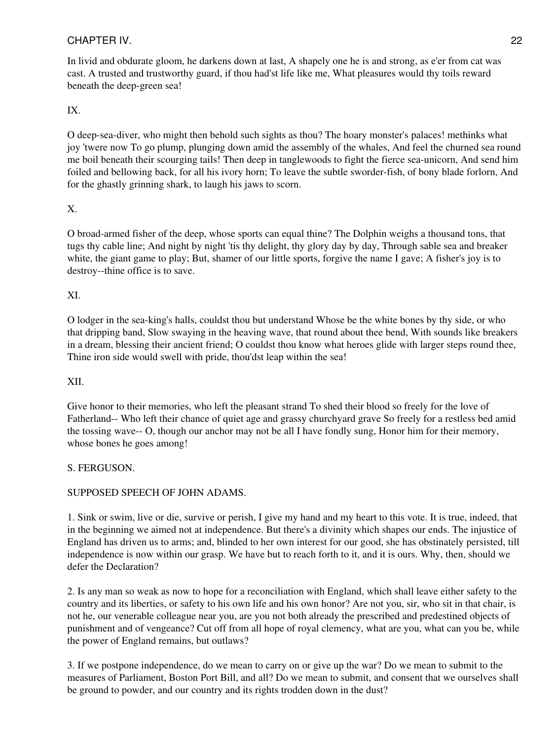In livid and obdurate gloom, he darkens down at last, A shapely one he is and strong, as e'er from cat was cast. A trusted and trustworthy guard, if thou had'st life like me, What pleasures would thy toils reward beneath the deep-green sea!

# IX.

O deep-sea-diver, who might then behold such sights as thou? The hoary monster's palaces! methinks what joy 'twere now To go plump, plunging down amid the assembly of the whales, And feel the churned sea round me boil beneath their scourging tails! Then deep in tanglewoods to fight the fierce sea-unicorn, And send him foiled and bellowing back, for all his ivory horn; To leave the subtle sworder-fish, of bony blade forlorn, And for the ghastly grinning shark, to laugh his jaws to scorn.

# X.

O broad-armed fisher of the deep, whose sports can equal thine? The Dolphin weighs a thousand tons, that tugs thy cable line; And night by night 'tis thy delight, thy glory day by day, Through sable sea and breaker white, the giant game to play; But, shamer of our little sports, forgive the name I gave; A fisher's joy is to destroy--thine office is to save.

# XI.

O lodger in the sea-king's halls, couldst thou but understand Whose be the white bones by thy side, or who that dripping band, Slow swaying in the heaving wave, that round about thee bend, With sounds like breakers in a dream, blessing their ancient friend; O couldst thou know what heroes glide with larger steps round thee, Thine iron side would swell with pride, thou'dst leap within the sea!

# XII.

Give honor to their memories, who left the pleasant strand To shed their blood so freely for the love of Fatherland-- Who left their chance of quiet age and grassy churchyard grave So freely for a restless bed amid the tossing wave-- O, though our anchor may not be all I have fondly sung, Honor him for their memory, whose bones he goes among!

# S. FERGUSON.

# SUPPOSED SPEECH OF JOHN ADAMS.

1. Sink or swim, live or die, survive or perish, I give my hand and my heart to this vote. It is true, indeed, that in the beginning we aimed not at independence. But there's a divinity which shapes our ends. The injustice of England has driven us to arms; and, blinded to her own interest for our good, she has obstinately persisted, till independence is now within our grasp. We have but to reach forth to it, and it is ours. Why, then, should we defer the Declaration?

2. Is any man so weak as now to hope for a reconciliation with England, which shall leave either safety to the country and its liberties, or safety to his own life and his own honor? Are not you, sir, who sit in that chair, is not he, our venerable colleague near you, are you not both already the prescribed and predestined objects of punishment and of vengeance? Cut off from all hope of royal clemency, what are you, what can you be, while the power of England remains, but outlaws?

3. If we postpone independence, do we mean to carry on or give up the war? Do we mean to submit to the measures of Parliament, Boston Port Bill, and all? Do we mean to submit, and consent that we ourselves shall be ground to powder, and our country and its rights trodden down in the dust?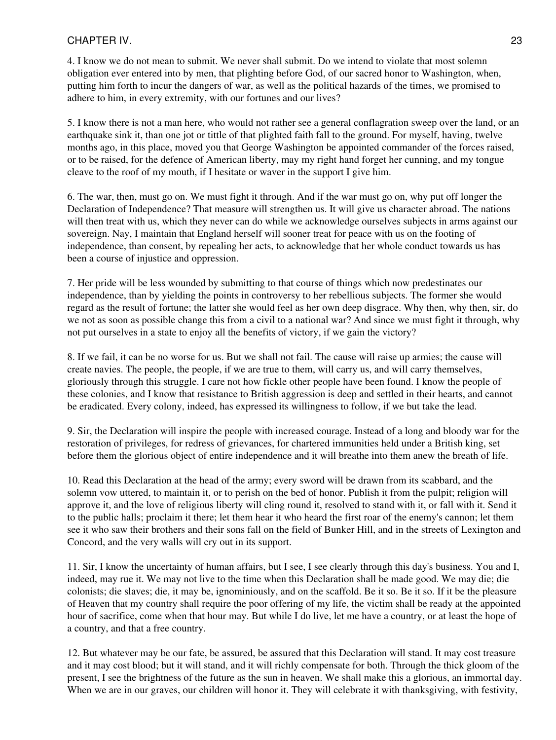4. I know we do not mean to submit. We never shall submit. Do we intend to violate that most solemn obligation ever entered into by men, that plighting before God, of our sacred honor to Washington, when, putting him forth to incur the dangers of war, as well as the political hazards of the times, we promised to adhere to him, in every extremity, with our fortunes and our lives?

5. I know there is not a man here, who would not rather see a general conflagration sweep over the land, or an earthquake sink it, than one jot or tittle of that plighted faith fall to the ground. For myself, having, twelve months ago, in this place, moved you that George Washington be appointed commander of the forces raised, or to be raised, for the defence of American liberty, may my right hand forget her cunning, and my tongue cleave to the roof of my mouth, if I hesitate or waver in the support I give him.

6. The war, then, must go on. We must fight it through. And if the war must go on, why put off longer the Declaration of Independence? That measure will strengthen us. It will give us character abroad. The nations will then treat with us, which they never can do while we acknowledge ourselves subjects in arms against our sovereign. Nay, I maintain that England herself will sooner treat for peace with us on the footing of independence, than consent, by repealing her acts, to acknowledge that her whole conduct towards us has been a course of injustice and oppression.

7. Her pride will be less wounded by submitting to that course of things which now predestinates our independence, than by yielding the points in controversy to her rebellious subjects. The former she would regard as the result of fortune; the latter she would feel as her own deep disgrace. Why then, why then, sir, do we not as soon as possible change this from a civil to a national war? And since we must fight it through, why not put ourselves in a state to enjoy all the benefits of victory, if we gain the victory?

8. If we fail, it can be no worse for us. But we shall not fail. The cause will raise up armies; the cause will create navies. The people, the people, if we are true to them, will carry us, and will carry themselves, gloriously through this struggle. I care not how fickle other people have been found. I know the people of these colonies, and I know that resistance to British aggression is deep and settled in their hearts, and cannot be eradicated. Every colony, indeed, has expressed its willingness to follow, if we but take the lead.

9. Sir, the Declaration will inspire the people with increased courage. Instead of a long and bloody war for the restoration of privileges, for redress of grievances, for chartered immunities held under a British king, set before them the glorious object of entire independence and it will breathe into them anew the breath of life.

10. Read this Declaration at the head of the army; every sword will be drawn from its scabbard, and the solemn vow uttered, to maintain it, or to perish on the bed of honor. Publish it from the pulpit; religion will approve it, and the love of religious liberty will cling round it, resolved to stand with it, or fall with it. Send it to the public halls; proclaim it there; let them hear it who heard the first roar of the enemy's cannon; let them see it who saw their brothers and their sons fall on the field of Bunker Hill, and in the streets of Lexington and Concord, and the very walls will cry out in its support.

11. Sir, I know the uncertainty of human affairs, but I see, I see clearly through this day's business. You and I, indeed, may rue it. We may not live to the time when this Declaration shall be made good. We may die; die colonists; die slaves; die, it may be, ignominiously, and on the scaffold. Be it so. Be it so. If it be the pleasure of Heaven that my country shall require the poor offering of my life, the victim shall be ready at the appointed hour of sacrifice, come when that hour may. But while I do live, let me have a country, or at least the hope of a country, and that a free country.

12. But whatever may be our fate, be assured, be assured that this Declaration will stand. It may cost treasure and it may cost blood; but it will stand, and it will richly compensate for both. Through the thick gloom of the present, I see the brightness of the future as the sun in heaven. We shall make this a glorious, an immortal day. When we are in our graves, our children will honor it. They will celebrate it with thanksgiving, with festivity,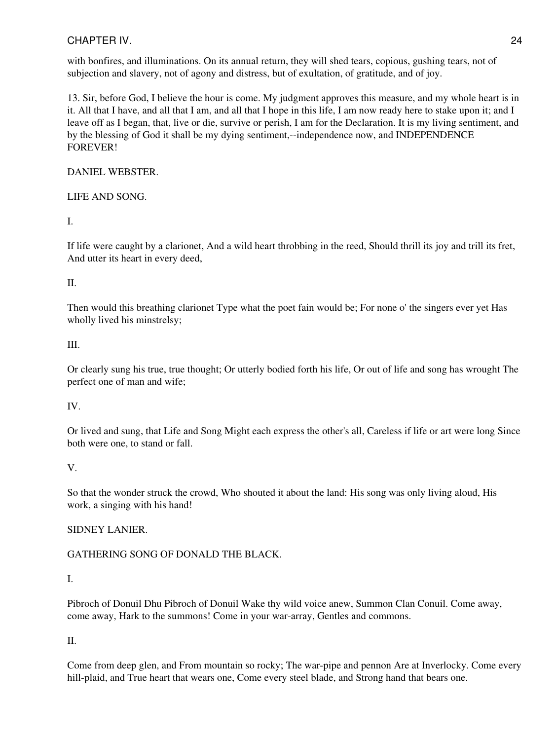with bonfires, and illuminations. On its annual return, they will shed tears, copious, gushing tears, not of subjection and slavery, not of agony and distress, but of exultation, of gratitude, and of joy.

13. Sir, before God, I believe the hour is come. My judgment approves this measure, and my whole heart is in it. All that I have, and all that I am, and all that I hope in this life, I am now ready here to stake upon it; and I leave off as I began, that, live or die, survive or perish, I am for the Declaration. It is my living sentiment, and by the blessing of God it shall be my dying sentiment,--independence now, and INDEPENDENCE FOREVER!

## DANIEL WEBSTER.

LIFE AND SONG.

I.

If life were caught by a clarionet, And a wild heart throbbing in the reed, Should thrill its joy and trill its fret, And utter its heart in every deed,

## II.

Then would this breathing clarionet Type what the poet fain would be; For none o' the singers ever yet Has wholly lived his minstrelsy;

## III.

Or clearly sung his true, true thought; Or utterly bodied forth his life, Or out of life and song has wrought The perfect one of man and wife;

## IV.

Or lived and sung, that Life and Song Might each express the other's all, Careless if life or art were long Since both were one, to stand or fall.

# V.

So that the wonder struck the crowd, Who shouted it about the land: His song was only living aloud, His work, a singing with his hand!

# SIDNEY LANIER.

# GATHERING SONG OF DONALD THE BLACK.

## I.

Pibroch of Donuil Dhu Pibroch of Donuil Wake thy wild voice anew, Summon Clan Conuil. Come away, come away, Hark to the summons! Come in your war-array, Gentles and commons.

# II.

Come from deep glen, and From mountain so rocky; The war-pipe and pennon Are at Inverlocky. Come every hill-plaid, and True heart that wears one, Come every steel blade, and Strong hand that bears one.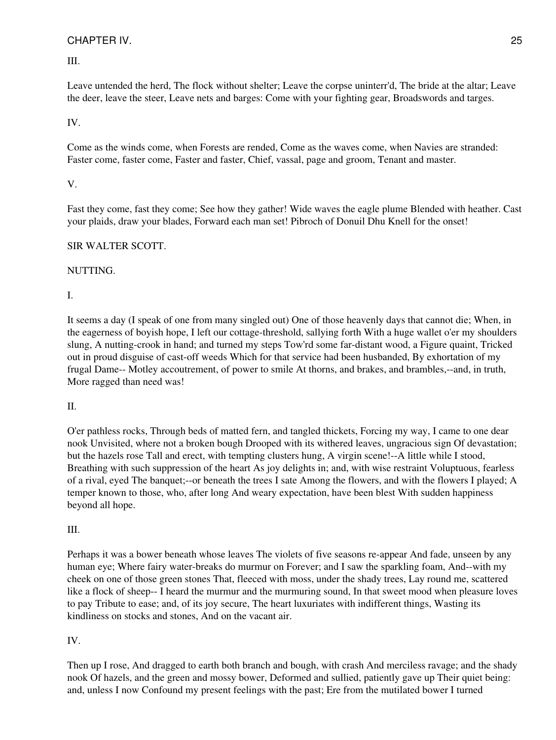III.

Leave untended the herd, The flock without shelter; Leave the corpse uninterr'd, The bride at the altar; Leave the deer, leave the steer, Leave nets and barges: Come with your fighting gear, Broadswords and targes.

# IV.

Come as the winds come, when Forests are rended, Come as the waves come, when Navies are stranded: Faster come, faster come, Faster and faster, Chief, vassal, page and groom, Tenant and master.

# V.

Fast they come, fast they come; See how they gather! Wide waves the eagle plume Blended with heather. Cast your plaids, draw your blades, Forward each man set! Pibroch of Donuil Dhu Knell for the onset!

# SIR WALTER SCOTT.

# NUTTING.

I.

It seems a day (I speak of one from many singled out) One of those heavenly days that cannot die; When, in the eagerness of boyish hope, I left our cottage-threshold, sallying forth With a huge wallet o'er my shoulders slung, A nutting-crook in hand; and turned my steps Tow'rd some far-distant wood, a Figure quaint, Tricked out in proud disguise of cast-off weeds Which for that service had been husbanded, By exhortation of my frugal Dame-- Motley accoutrement, of power to smile At thorns, and brakes, and brambles,--and, in truth, More ragged than need was!

## II.

O'er pathless rocks, Through beds of matted fern, and tangled thickets, Forcing my way, I came to one dear nook Unvisited, where not a broken bough Drooped with its withered leaves, ungracious sign Of devastation; but the hazels rose Tall and erect, with tempting clusters hung, A virgin scene!--A little while I stood, Breathing with such suppression of the heart As joy delights in; and, with wise restraint Voluptuous, fearless of a rival, eyed The banquet;--or beneath the trees I sate Among the flowers, and with the flowers I played; A temper known to those, who, after long And weary expectation, have been blest With sudden happiness beyond all hope.

# III.

Perhaps it was a bower beneath whose leaves The violets of five seasons re-appear And fade, unseen by any human eye; Where fairy water-breaks do murmur on Forever; and I saw the sparkling foam, And--with my cheek on one of those green stones That, fleeced with moss, under the shady trees, Lay round me, scattered like a flock of sheep-- I heard the murmur and the murmuring sound, In that sweet mood when pleasure loves to pay Tribute to ease; and, of its joy secure, The heart luxuriates with indifferent things, Wasting its kindliness on stocks and stones, And on the vacant air.

# IV.

Then up I rose, And dragged to earth both branch and bough, with crash And merciless ravage; and the shady nook Of hazels, and the green and mossy bower, Deformed and sullied, patiently gave up Their quiet being: and, unless I now Confound my present feelings with the past; Ere from the mutilated bower I turned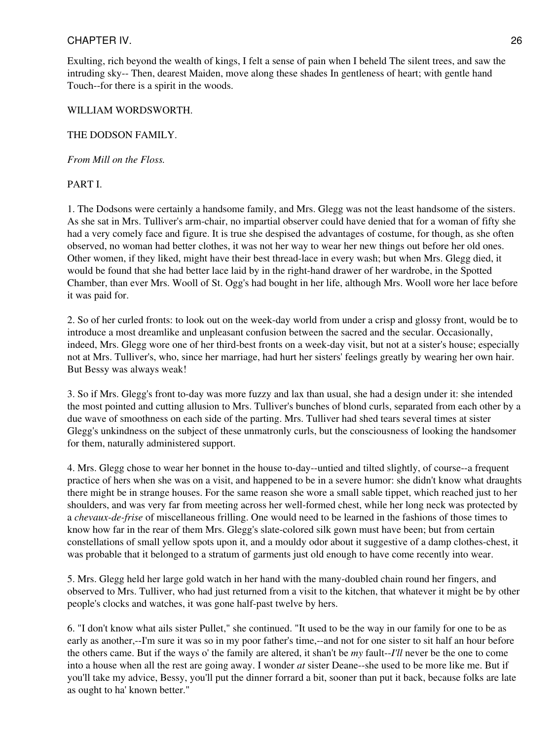Exulting, rich beyond the wealth of kings, I felt a sense of pain when I beheld The silent trees, and saw the intruding sky-- Then, dearest Maiden, move along these shades In gentleness of heart; with gentle hand Touch--for there is a spirit in the woods.

## WILLIAM WORDSWORTH.

## THE DODSON FAMILY.

## *From Mill on the Floss.*

## PART I.

1. The Dodsons were certainly a handsome family, and Mrs. Glegg was not the least handsome of the sisters. As she sat in Mrs. Tulliver's arm-chair, no impartial observer could have denied that for a woman of fifty she had a very comely face and figure. It is true she despised the advantages of costume, for though, as she often observed, no woman had better clothes, it was not her way to wear her new things out before her old ones. Other women, if they liked, might have their best thread-lace in every wash; but when Mrs. Glegg died, it would be found that she had better lace laid by in the right-hand drawer of her wardrobe, in the Spotted Chamber, than ever Mrs. Wooll of St. Ogg's had bought in her life, although Mrs. Wooll wore her lace before it was paid for.

2. So of her curled fronts: to look out on the week-day world from under a crisp and glossy front, would be to introduce a most dreamlike and unpleasant confusion between the sacred and the secular. Occasionally, indeed, Mrs. Glegg wore one of her third-best fronts on a week-day visit, but not at a sister's house; especially not at Mrs. Tulliver's, who, since her marriage, had hurt her sisters' feelings greatly by wearing her own hair. But Bessy was always weak!

3. So if Mrs. Glegg's front to-day was more fuzzy and lax than usual, she had a design under it: she intended the most pointed and cutting allusion to Mrs. Tulliver's bunches of blond curls, separated from each other by a due wave of smoothness on each side of the parting. Mrs. Tulliver had shed tears several times at sister Glegg's unkindness on the subject of these unmatronly curls, but the consciousness of looking the handsomer for them, naturally administered support.

4. Mrs. Glegg chose to wear her bonnet in the house to-day--untied and tilted slightly, of course--a frequent practice of hers when she was on a visit, and happened to be in a severe humor: she didn't know what draughts there might be in strange houses. For the same reason she wore a small sable tippet, which reached just to her shoulders, and was very far from meeting across her well-formed chest, while her long neck was protected by a *chevaux-de-frise* of miscellaneous frilling. One would need to be learned in the fashions of those times to know how far in the rear of them Mrs. Glegg's slate-colored silk gown must have been; but from certain constellations of small yellow spots upon it, and a mouldy odor about it suggestive of a damp clothes-chest, it was probable that it belonged to a stratum of garments just old enough to have come recently into wear.

5. Mrs. Glegg held her large gold watch in her hand with the many-doubled chain round her fingers, and observed to Mrs. Tulliver, who had just returned from a visit to the kitchen, that whatever it might be by other people's clocks and watches, it was gone half-past twelve by hers.

6. "I don't know what ails sister Pullet," she continued. "It used to be the way in our family for one to be as early as another,--I'm sure it was so in my poor father's time,--and not for one sister to sit half an hour before the others came. But if the ways o' the family are altered, it shan't be *my* fault--*I'll* never be the one to come into a house when all the rest are going away. I wonder *at* sister Deane--she used to be more like me. But if you'll take my advice, Bessy, you'll put the dinner forrard a bit, sooner than put it back, because folks are late as ought to ha' known better."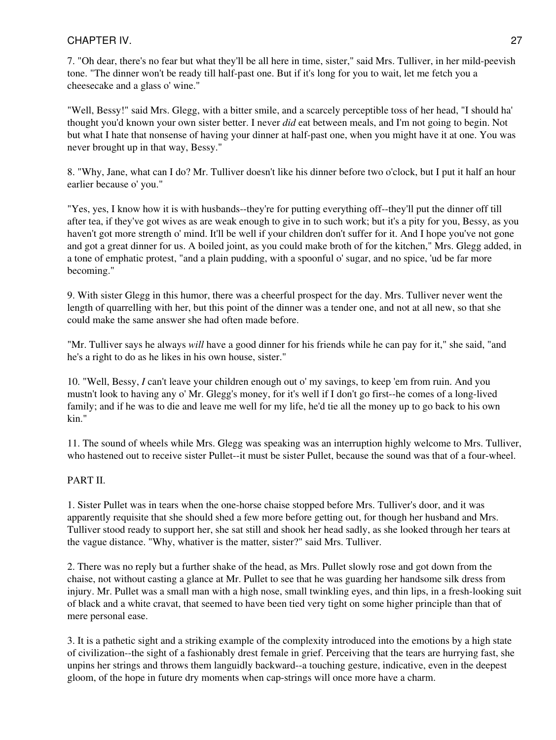7. "Oh dear, there's no fear but what they'll be all here in time, sister," said Mrs. Tulliver, in her mild-peevish tone. "The dinner won't be ready till half-past one. But if it's long for you to wait, let me fetch you a cheesecake and a glass o' wine."

"Well, Bessy!" said Mrs. Glegg, with a bitter smile, and a scarcely perceptible toss of her head, "I should ha' thought you'd known your own sister better. I never *did* eat between meals, and I'm not going to begin. Not but what I hate that nonsense of having your dinner at half-past one, when you might have it at one. You was never brought up in that way, Bessy."

8. "Why, Jane, what can I do? Mr. Tulliver doesn't like his dinner before two o'clock, but I put it half an hour earlier because o' you."

"Yes, yes, I know how it is with husbands--they're for putting everything off--they'll put the dinner off till after tea, if they've got wives as are weak enough to give in to such work; but it's a pity for you, Bessy, as you haven't got more strength o' mind. It'll be well if your children don't suffer for it. And I hope you've not gone and got a great dinner for us. A boiled joint, as you could make broth of for the kitchen," Mrs. Glegg added, in a tone of emphatic protest, "and a plain pudding, with a spoonful o' sugar, and no spice, 'ud be far more becoming."

9. With sister Glegg in this humor, there was a cheerful prospect for the day. Mrs. Tulliver never went the length of quarrelling with her, but this point of the dinner was a tender one, and not at all new, so that she could make the same answer she had often made before.

"Mr. Tulliver says he always *will* have a good dinner for his friends while he can pay for it," she said, "and he's a right to do as he likes in his own house, sister."

10. "Well, Bessy, *I* can't leave your children enough out o' my savings, to keep 'em from ruin. And you mustn't look to having any o' Mr. Glegg's money, for it's well if I don't go first--he comes of a long-lived family; and if he was to die and leave me well for my life, he'd tie all the money up to go back to his own kin."

11. The sound of wheels while Mrs. Glegg was speaking was an interruption highly welcome to Mrs. Tulliver, who hastened out to receive sister Pullet--it must be sister Pullet, because the sound was that of a four-wheel.

# PART II.

1. Sister Pullet was in tears when the one-horse chaise stopped before Mrs. Tulliver's door, and it was apparently requisite that she should shed a few more before getting out, for though her husband and Mrs. Tulliver stood ready to support her, she sat still and shook her head sadly, as she looked through her tears at the vague distance. "Why, whativer is the matter, sister?" said Mrs. Tulliver.

2. There was no reply but a further shake of the head, as Mrs. Pullet slowly rose and got down from the chaise, not without casting a glance at Mr. Pullet to see that he was guarding her handsome silk dress from injury. Mr. Pullet was a small man with a high nose, small twinkling eyes, and thin lips, in a fresh-looking suit of black and a white cravat, that seemed to have been tied very tight on some higher principle than that of mere personal ease.

3. It is a pathetic sight and a striking example of the complexity introduced into the emotions by a high state of civilization--the sight of a fashionably drest female in grief. Perceiving that the tears are hurrying fast, she unpins her strings and throws them languidly backward--a touching gesture, indicative, even in the deepest gloom, of the hope in future dry moments when cap-strings will once more have a charm.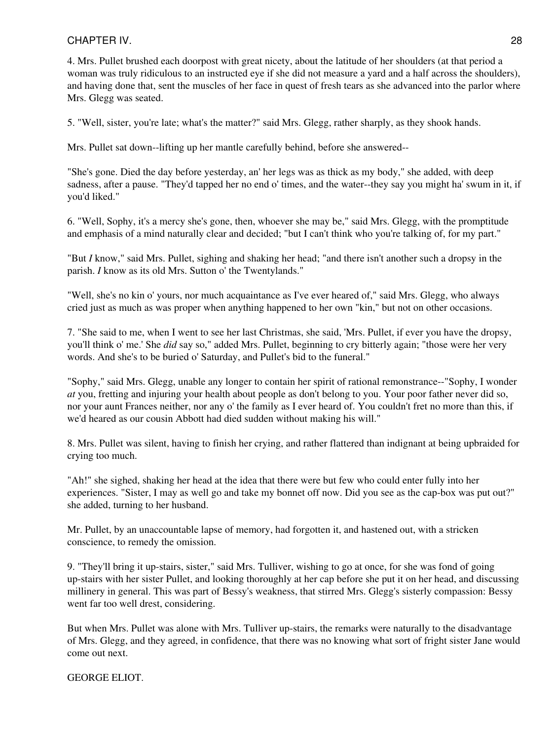4. Mrs. Pullet brushed each doorpost with great nicety, about the latitude of her shoulders (at that period a woman was truly ridiculous to an instructed eye if she did not measure a yard and a half across the shoulders), and having done that, sent the muscles of her face in quest of fresh tears as she advanced into the parlor where Mrs. Glegg was seated.

5. "Well, sister, you're late; what's the matter?" said Mrs. Glegg, rather sharply, as they shook hands.

Mrs. Pullet sat down--lifting up her mantle carefully behind, before she answered--

"She's gone. Died the day before yesterday, an' her legs was as thick as my body," she added, with deep sadness, after a pause. "They'd tapped her no end o' times, and the water--they say you might ha' swum in it, if you'd liked."

6. "Well, Sophy, it's a mercy she's gone, then, whoever she may be," said Mrs. Glegg, with the promptitude and emphasis of a mind naturally clear and decided; "but I can't think who you're talking of, for my part."

"But *I* know," said Mrs. Pullet, sighing and shaking her head; "and there isn't another such a dropsy in the parish. *I* know as its old Mrs. Sutton o' the Twentylands."

"Well, she's no kin o' yours, nor much acquaintance as I've ever heared of," said Mrs. Glegg, who always cried just as much as was proper when anything happened to her own "kin," but not on other occasions.

7. "She said to me, when I went to see her last Christmas, she said, 'Mrs. Pullet, if ever you have the dropsy, you'll think o' me.' She *did* say so," added Mrs. Pullet, beginning to cry bitterly again; "those were her very words. And she's to be buried o' Saturday, and Pullet's bid to the funeral."

"Sophy," said Mrs. Glegg, unable any longer to contain her spirit of rational remonstrance--"Sophy, I wonder *at* you, fretting and injuring your health about people as don't belong to you. Your poor father never did so, nor your aunt Frances neither, nor any o' the family as I ever heard of. You couldn't fret no more than this, if we'd heared as our cousin Abbott had died sudden without making his will."

8. Mrs. Pullet was silent, having to finish her crying, and rather flattered than indignant at being upbraided for crying too much.

"Ah!" she sighed, shaking her head at the idea that there were but few who could enter fully into her experiences. "Sister, I may as well go and take my bonnet off now. Did you see as the cap-box was put out?" she added, turning to her husband.

Mr. Pullet, by an unaccountable lapse of memory, had forgotten it, and hastened out, with a stricken conscience, to remedy the omission.

9. "They'll bring it up-stairs, sister," said Mrs. Tulliver, wishing to go at once, for she was fond of going up-stairs with her sister Pullet, and looking thoroughly at her cap before she put it on her head, and discussing millinery in general. This was part of Bessy's weakness, that stirred Mrs. Glegg's sisterly compassion: Bessy went far too well drest, considering.

But when Mrs. Pullet was alone with Mrs. Tulliver up-stairs, the remarks were naturally to the disadvantage of Mrs. Glegg, and they agreed, in confidence, that there was no knowing what sort of fright sister Jane would come out next.

## GEORGE ELIOT.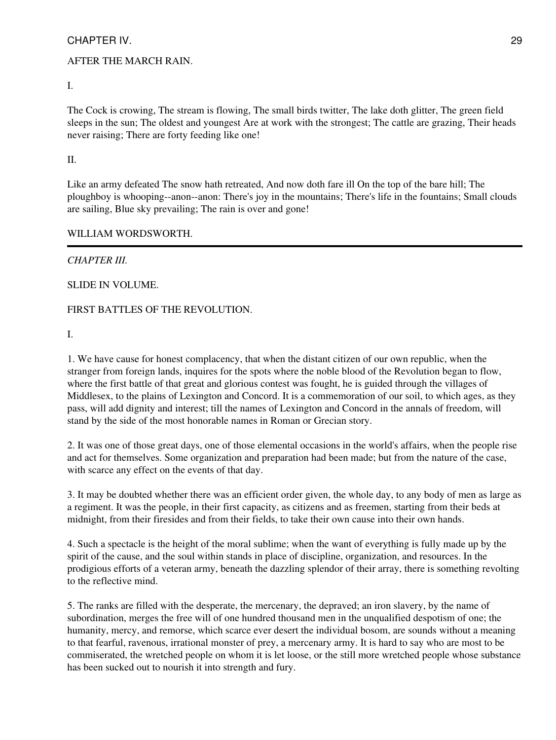## AFTER THE MARCH RAIN.

I.

The Cock is crowing, The stream is flowing, The small birds twitter, The lake doth glitter, The green field sleeps in the sun; The oldest and youngest Are at work with the strongest; The cattle are grazing, Their heads never raising; There are forty feeding like one!

II.

Like an army defeated The snow hath retreated, And now doth fare ill On the top of the bare hill; The ploughboy is whooping--anon--anon: There's joy in the mountains; There's life in the fountains; Small clouds are sailing, Blue sky prevailing; The rain is over and gone!

## WILLIAM WORDSWORTH.

# *CHAPTER III.*

SLIDE IN VOLUME.

## FIRST BATTLES OF THE REVOLUTION.

I.

1. We have cause for honest complacency, that when the distant citizen of our own republic, when the stranger from foreign lands, inquires for the spots where the noble blood of the Revolution began to flow, where the first battle of that great and glorious contest was fought, he is guided through the villages of Middlesex, to the plains of Lexington and Concord. It is a commemoration of our soil, to which ages, as they pass, will add dignity and interest; till the names of Lexington and Concord in the annals of freedom, will stand by the side of the most honorable names in Roman or Grecian story.

2. It was one of those great days, one of those elemental occasions in the world's affairs, when the people rise and act for themselves. Some organization and preparation had been made; but from the nature of the case, with scarce any effect on the events of that day.

3. It may be doubted whether there was an efficient order given, the whole day, to any body of men as large as a regiment. It was the people, in their first capacity, as citizens and as freemen, starting from their beds at midnight, from their firesides and from their fields, to take their own cause into their own hands.

4. Such a spectacle is the height of the moral sublime; when the want of everything is fully made up by the spirit of the cause, and the soul within stands in place of discipline, organization, and resources. In the prodigious efforts of a veteran army, beneath the dazzling splendor of their array, there is something revolting to the reflective mind.

5. The ranks are filled with the desperate, the mercenary, the depraved; an iron slavery, by the name of subordination, merges the free will of one hundred thousand men in the unqualified despotism of one; the humanity, mercy, and remorse, which scarce ever desert the individual bosom, are sounds without a meaning to that fearful, ravenous, irrational monster of prey, a mercenary army. It is hard to say who are most to be commiserated, the wretched people on whom it is let loose, or the still more wretched people whose substance has been sucked out to nourish it into strength and fury.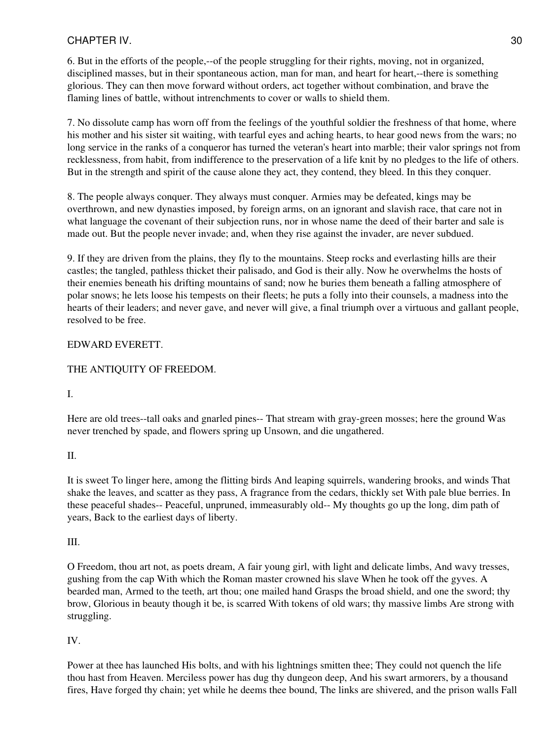6. But in the efforts of the people,--of the people struggling for their rights, moving, not in organized, disciplined masses, but in their spontaneous action, man for man, and heart for heart,--there is something glorious. They can then move forward without orders, act together without combination, and brave the flaming lines of battle, without intrenchments to cover or walls to shield them.

7. No dissolute camp has worn off from the feelings of the youthful soldier the freshness of that home, where his mother and his sister sit waiting, with tearful eyes and aching hearts, to hear good news from the wars; no long service in the ranks of a conqueror has turned the veteran's heart into marble; their valor springs not from recklessness, from habit, from indifference to the preservation of a life knit by no pledges to the life of others. But in the strength and spirit of the cause alone they act, they contend, they bleed. In this they conquer.

8. The people always conquer. They always must conquer. Armies may be defeated, kings may be overthrown, and new dynasties imposed, by foreign arms, on an ignorant and slavish race, that care not in what language the covenant of their subjection runs, nor in whose name the deed of their barter and sale is made out. But the people never invade; and, when they rise against the invader, are never subdued.

9. If they are driven from the plains, they fly to the mountains. Steep rocks and everlasting hills are their castles; the tangled, pathless thicket their palisado, and God is their ally. Now he overwhelms the hosts of their enemies beneath his drifting mountains of sand; now he buries them beneath a falling atmosphere of polar snows; he lets loose his tempests on their fleets; he puts a folly into their counsels, a madness into the hearts of their leaders; and never gave, and never will give, a final triumph over a virtuous and gallant people, resolved to be free.

# EDWARD EVERETT.

# THE ANTIQUITY OF FREEDOM.

# I.

Here are old trees--tall oaks and gnarled pines-- That stream with gray-green mosses; here the ground Was never trenched by spade, and flowers spring up Unsown, and die ungathered.

# II.

It is sweet To linger here, among the flitting birds And leaping squirrels, wandering brooks, and winds That shake the leaves, and scatter as they pass, A fragrance from the cedars, thickly set With pale blue berries. In these peaceful shades-- Peaceful, unpruned, immeasurably old-- My thoughts go up the long, dim path of years, Back to the earliest days of liberty.

# III.

O Freedom, thou art not, as poets dream, A fair young girl, with light and delicate limbs, And wavy tresses, gushing from the cap With which the Roman master crowned his slave When he took off the gyves. A bearded man, Armed to the teeth, art thou; one mailed hand Grasps the broad shield, and one the sword; thy brow, Glorious in beauty though it be, is scarred With tokens of old wars; thy massive limbs Are strong with struggling.

# IV.

Power at thee has launched His bolts, and with his lightnings smitten thee; They could not quench the life thou hast from Heaven. Merciless power has dug thy dungeon deep, And his swart armorers, by a thousand fires, Have forged thy chain; yet while he deems thee bound, The links are shivered, and the prison walls Fall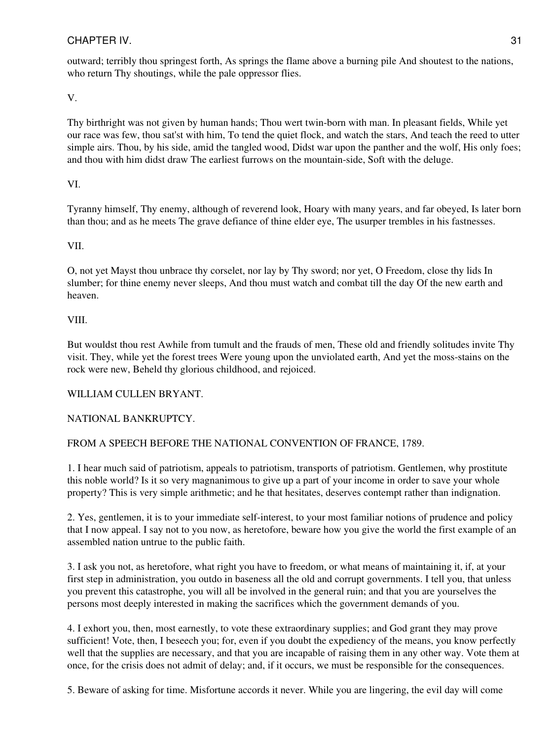outward; terribly thou springest forth, As springs the flame above a burning pile And shoutest to the nations, who return Thy shoutings, while the pale oppressor flies.

V.

Thy birthright was not given by human hands; Thou wert twin-born with man. In pleasant fields, While yet our race was few, thou sat'st with him, To tend the quiet flock, and watch the stars, And teach the reed to utter simple airs. Thou, by his side, amid the tangled wood, Didst war upon the panther and the wolf, His only foes; and thou with him didst draw The earliest furrows on the mountain-side, Soft with the deluge.

# VI.

Tyranny himself, Thy enemy, although of reverend look, Hoary with many years, and far obeyed, Is later born than thou; and as he meets The grave defiance of thine elder eye, The usurper trembles in his fastnesses.

# VII.

O, not yet Mayst thou unbrace thy corselet, nor lay by Thy sword; nor yet, O Freedom, close thy lids In slumber; for thine enemy never sleeps, And thou must watch and combat till the day Of the new earth and heaven.

## VIII.

But wouldst thou rest Awhile from tumult and the frauds of men, These old and friendly solitudes invite Thy visit. They, while yet the forest trees Were young upon the unviolated earth, And yet the moss-stains on the rock were new, Beheld thy glorious childhood, and rejoiced.

# WILLIAM CULLEN BRYANT.

# NATIONAL BANKRUPTCY.

# FROM A SPEECH BEFORE THE NATIONAL CONVENTION OF FRANCE, 1789.

1. I hear much said of patriotism, appeals to patriotism, transports of patriotism. Gentlemen, why prostitute this noble world? Is it so very magnanimous to give up a part of your income in order to save your whole property? This is very simple arithmetic; and he that hesitates, deserves contempt rather than indignation.

2. Yes, gentlemen, it is to your immediate self-interest, to your most familiar notions of prudence and policy that I now appeal. I say not to you now, as heretofore, beware how you give the world the first example of an assembled nation untrue to the public faith.

3. I ask you not, as heretofore, what right you have to freedom, or what means of maintaining it, if, at your first step in administration, you outdo in baseness all the old and corrupt governments. I tell you, that unless you prevent this catastrophe, you will all be involved in the general ruin; and that you are yourselves the persons most deeply interested in making the sacrifices which the government demands of you.

4. I exhort you, then, most earnestly, to vote these extraordinary supplies; and God grant they may prove sufficient! Vote, then, I beseech you; for, even if you doubt the expediency of the means, you know perfectly well that the supplies are necessary, and that you are incapable of raising them in any other way. Vote them at once, for the crisis does not admit of delay; and, if it occurs, we must be responsible for the consequences.

5. Beware of asking for time. Misfortune accords it never. While you are lingering, the evil day will come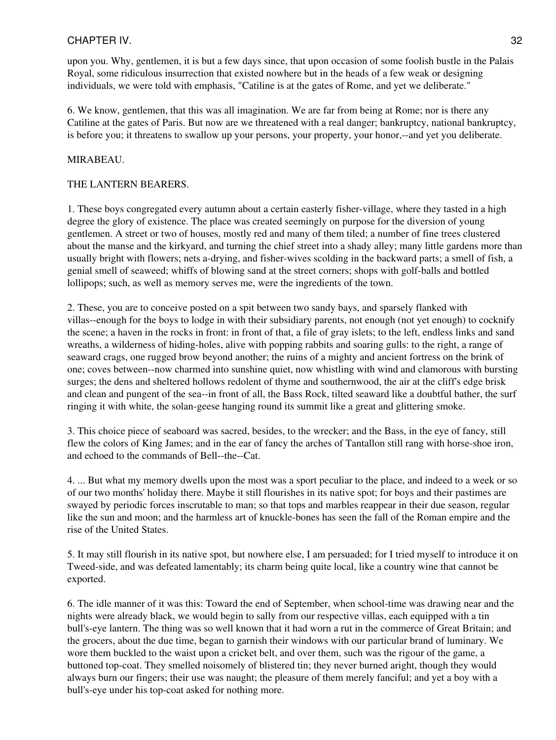upon you. Why, gentlemen, it is but a few days since, that upon occasion of some foolish bustle in the Palais Royal, some ridiculous insurrection that existed nowhere but in the heads of a few weak or designing individuals, we were told with emphasis, "Catiline is at the gates of Rome, and yet we deliberate."

6. We know, gentlemen, that this was all imagination. We are far from being at Rome; nor is there any Catiline at the gates of Paris. But now are we threatened with a real danger; bankruptcy, national bankruptcy, is before you; it threatens to swallow up your persons, your property, your honor,--and yet you deliberate.

#### MIRABEAU.

## THE LANTERN BEARERS.

1. These boys congregated every autumn about a certain easterly fisher-village, where they tasted in a high degree the glory of existence. The place was created seemingly on purpose for the diversion of young gentlemen. A street or two of houses, mostly red and many of them tiled; a number of fine trees clustered about the manse and the kirkyard, and turning the chief street into a shady alley; many little gardens more than usually bright with flowers; nets a-drying, and fisher-wives scolding in the backward parts; a smell of fish, a genial smell of seaweed; whiffs of blowing sand at the street corners; shops with golf-balls and bottled lollipops; such, as well as memory serves me, were the ingredients of the town.

2. These, you are to conceive posted on a spit between two sandy bays, and sparsely flanked with villas--enough for the boys to lodge in with their subsidiary parents, not enough (not yet enough) to cocknify the scene; a haven in the rocks in front: in front of that, a file of gray islets; to the left, endless links and sand wreaths, a wilderness of hiding-holes, alive with popping rabbits and soaring gulls: to the right, a range of seaward crags, one rugged brow beyond another; the ruins of a mighty and ancient fortress on the brink of one; coves between--now charmed into sunshine quiet, now whistling with wind and clamorous with bursting surges; the dens and sheltered hollows redolent of thyme and southernwood, the air at the cliff's edge brisk and clean and pungent of the sea--in front of all, the Bass Rock, tilted seaward like a doubtful bather, the surf ringing it with white, the solan-geese hanging round its summit like a great and glittering smoke.

3. This choice piece of seaboard was sacred, besides, to the wrecker; and the Bass, in the eye of fancy, still flew the colors of King James; and in the ear of fancy the arches of Tantallon still rang with horse-shoe iron, and echoed to the commands of Bell--the--Cat.

4. ... But what my memory dwells upon the most was a sport peculiar to the place, and indeed to a week or so of our two months' holiday there. Maybe it still flourishes in its native spot; for boys and their pastimes are swayed by periodic forces inscrutable to man; so that tops and marbles reappear in their due season, regular like the sun and moon; and the harmless art of knuckle-bones has seen the fall of the Roman empire and the rise of the United States.

5. It may still flourish in its native spot, but nowhere else, I am persuaded; for I tried myself to introduce it on Tweed-side, and was defeated lamentably; its charm being quite local, like a country wine that cannot be exported.

6. The idle manner of it was this: Toward the end of September, when school-time was drawing near and the nights were already black, we would begin to sally from our respective villas, each equipped with a tin bull's-eye lantern. The thing was so well known that it had worn a rut in the commerce of Great Britain; and the grocers, about the due time, began to garnish their windows with our particular brand of luminary. We wore them buckled to the waist upon a cricket belt, and over them, such was the rigour of the game, a buttoned top-coat. They smelled noisomely of blistered tin; they never burned aright, though they would always burn our fingers; their use was naught; the pleasure of them merely fanciful; and yet a boy with a bull's-eye under his top-coat asked for nothing more.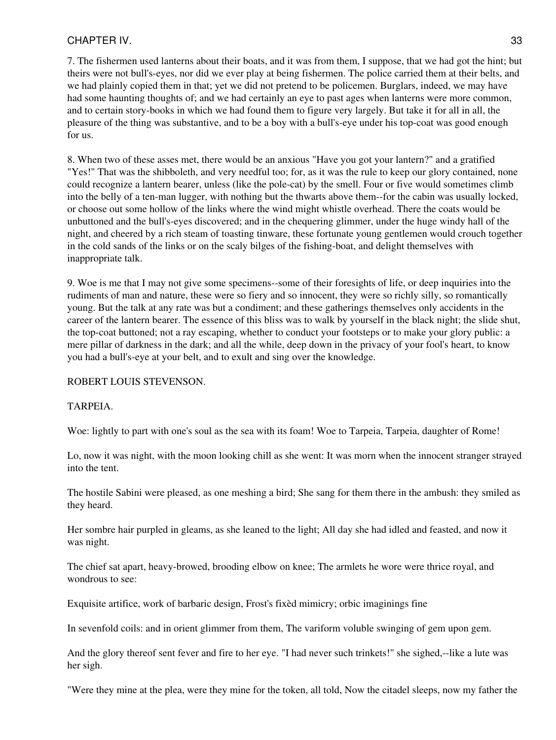7. The fishermen used lanterns about their boats, and it was from them, I suppose, that we had got the hint; but theirs were not bull's-eyes, nor did we ever play at being fishermen. The police carried them at their belts, and we had plainly copied them in that; yet we did not pretend to be policemen. Burglars, indeed, we may have had some haunting thoughts of; and we had certainly an eye to past ages when lanterns were more common, and to certain story-books in which we had found them to figure very largely. But take it for all in all, the pleasure of the thing was substantive, and to be a boy with a bull's-eye under his top-coat was good enough for us.

8. When two of these asses met, there would be an anxious "Have you got your lantern?" and a gratified "Yes!" That was the shibboleth, and very needful too; for, as it was the rule to keep our glory contained, none could recognize a lantern bearer, unless (like the pole-cat) by the smell. Four or five would sometimes climb into the belly of a ten-man lugger, with nothing but the thwarts above them--for the cabin was usually locked, or choose out some hollow of the links where the wind might whistle overhead. There the coats would be unbuttoned and the bull's-eyes discovered; and in the chequering glimmer, under the huge windy hall of the night, and cheered by a rich steam of toasting tinware, these fortunate young gentlemen would crouch together in the cold sands of the links or on the scaly bilges of the fishing-boat, and delight themselves with inappropriate talk.

9. Woe is me that I may not give some specimens--some of their foresights of life, or deep inquiries into the rudiments of man and nature, these were so fiery and so innocent, they were so richly silly, so romantically young. But the talk at any rate was but a condiment; and these gatherings themselves only accidents in the career of the lantern bearer. The essence of this bliss was to walk by yourself in the black night; the slide shut, the top-coat buttoned; not a ray escaping, whether to conduct your footsteps or to make your glory public: a mere pillar of darkness in the dark; and all the while, deep down in the privacy of your fool's heart, to know you had a bull's-eye at your belt, and to exult and sing over the knowledge.

ROBERT LOUIS STEVENSON.

## TARPEIA.

Woe: lightly to part with one's soul as the sea with its foam! Woe to Tarpeia, Tarpeia, daughter of Rome!

Lo, now it was night, with the moon looking chill as she went: It was morn when the innocent stranger strayed into the tent.

The hostile Sabini were pleased, as one meshing a bird; She sang for them there in the ambush: they smiled as they heard.

Her sombre hair purpled in gleams, as she leaned to the light; All day she had idled and feasted, and now it was night.

The chief sat apart, heavy-browed, brooding elbow on knee; The armlets he wore were thrice royal, and wondrous to see:

Exquisite artifice, work of barbaric design, Frost's fixèd mimicry; orbic imaginings fine

In sevenfold coils: and in orient glimmer from them, The variform voluble swinging of gem upon gem.

And the glory thereof sent fever and fire to her eye. "I had never such trinkets!" she sighed,--like a lute was her sigh.

"Were they mine at the plea, were they mine for the token, all told, Now the citadel sleeps, now my father the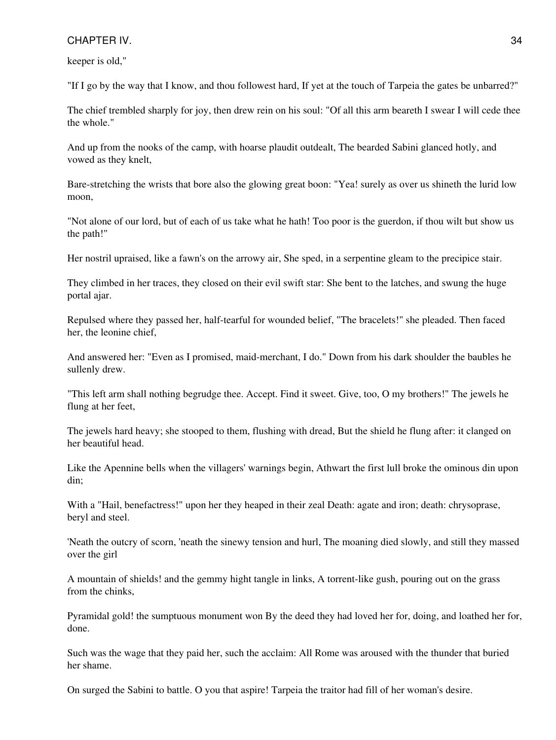keeper is old,"

"If I go by the way that I know, and thou followest hard, If yet at the touch of Tarpeia the gates be unbarred?"

The chief trembled sharply for joy, then drew rein on his soul: "Of all this arm beareth I swear I will cede thee the whole."

And up from the nooks of the camp, with hoarse plaudit outdealt, The bearded Sabini glanced hotly, and vowed as they knelt,

Bare-stretching the wrists that bore also the glowing great boon: "Yea! surely as over us shineth the lurid low moon,

"Not alone of our lord, but of each of us take what he hath! Too poor is the guerdon, if thou wilt but show us the path!"

Her nostril upraised, like a fawn's on the arrowy air, She sped, in a serpentine gleam to the precipice stair.

They climbed in her traces, they closed on their evil swift star: She bent to the latches, and swung the huge portal ajar.

Repulsed where they passed her, half-tearful for wounded belief, "The bracelets!" she pleaded. Then faced her, the leonine chief,

And answered her: "Even as I promised, maid-merchant, I do." Down from his dark shoulder the baubles he sullenly drew.

"This left arm shall nothing begrudge thee. Accept. Find it sweet. Give, too, O my brothers!" The jewels he flung at her feet,

The jewels hard heavy; she stooped to them, flushing with dread, But the shield he flung after: it clanged on her beautiful head.

Like the Apennine bells when the villagers' warnings begin, Athwart the first lull broke the ominous din upon din;

With a "Hail, benefactress!" upon her they heaped in their zeal Death: agate and iron; death: chrysoprase, beryl and steel.

'Neath the outcry of scorn, 'neath the sinewy tension and hurl, The moaning died slowly, and still they massed over the girl

A mountain of shields! and the gemmy hight tangle in links, A torrent-like gush, pouring out on the grass from the chinks,

Pyramidal gold! the sumptuous monument won By the deed they had loved her for, doing, and loathed her for, done.

Such was the wage that they paid her, such the acclaim: All Rome was aroused with the thunder that buried her shame.

On surged the Sabini to battle. O you that aspire! Tarpeia the traitor had fill of her woman's desire.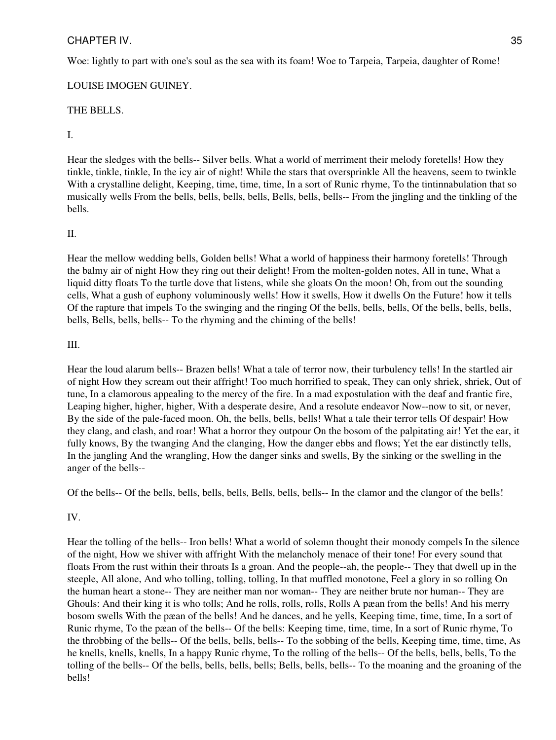Woe: lightly to part with one's soul as the sea with its foam! Woe to Tarpeia, Tarpeia, daughter of Rome!

# LOUISE IMOGEN GUINEY.

# THE BELLS.

## I.

Hear the sledges with the bells-- Silver bells. What a world of merriment their melody foretells! How they tinkle, tinkle, tinkle, In the icy air of night! While the stars that oversprinkle All the heavens, seem to twinkle With a crystalline delight, Keeping, time, time, time, In a sort of Runic rhyme, To the tintinnabulation that so musically wells From the bells, bells, bells, bells, Bells, bells, bells-- From the jingling and the tinkling of the bells.

# II.

Hear the mellow wedding bells, Golden bells! What a world of happiness their harmony foretells! Through the balmy air of night How they ring out their delight! From the molten-golden notes, All in tune, What a liquid ditty floats To the turtle dove that listens, while she gloats On the moon! Oh, from out the sounding cells, What a gush of euphony voluminously wells! How it swells, How it dwells On the Future! how it tells Of the rapture that impels To the swinging and the ringing Of the bells, bells, bells, Of the bells, bells, bells, bells, Bells, bells, bells-- To the rhyming and the chiming of the bells!

## III.

Hear the loud alarum bells-- Brazen bells! What a tale of terror now, their turbulency tells! In the startled air of night How they scream out their affright! Too much horrified to speak, They can only shriek, shriek, Out of tune, In a clamorous appealing to the mercy of the fire. In a mad expostulation with the deaf and frantic fire, Leaping higher, higher, higher, With a desperate desire, And a resolute endeavor Now--now to sit, or never, By the side of the pale-faced moon. Oh, the bells, bells, bells! What a tale their terror tells Of despair! How they clang, and clash, and roar! What a horror they outpour On the bosom of the palpitating air! Yet the ear, it fully knows, By the twanging And the clanging, How the danger ebbs and flows; Yet the ear distinctly tells, In the jangling And the wrangling, How the danger sinks and swells, By the sinking or the swelling in the anger of the bells--

Of the bells-- Of the bells, bells, bells, bells, Bells, bells, bells-- In the clamor and the clangor of the bells!

# IV.

Hear the tolling of the bells-- Iron bells! What a world of solemn thought their monody compels In the silence of the night, How we shiver with affright With the melancholy menace of their tone! For every sound that floats From the rust within their throats Is a groan. And the people--ah, the people-- They that dwell up in the steeple, All alone, And who tolling, tolling, tolling, In that muffled monotone, Feel a glory in so rolling On the human heart a stone-- They are neither man nor woman-- They are neither brute nor human-- They are Ghouls: And their king it is who tolls; And he rolls, rolls, rolls, Rolls A pæan from the bells! And his merry bosom swells With the pæan of the bells! And he dances, and he yells, Keeping time, time, time, In a sort of Runic rhyme, To the pæan of the bells-- Of the bells: Keeping time, time, time, In a sort of Runic rhyme, To the throbbing of the bells-- Of the bells, bells, bells-- To the sobbing of the bells, Keeping time, time, time, As he knells, knells, knells, In a happy Runic rhyme, To the rolling of the bells-- Of the bells, bells, bells, To the tolling of the bells-- Of the bells, bells, bells, bells; Bells, bells, bells-- To the moaning and the groaning of the bells!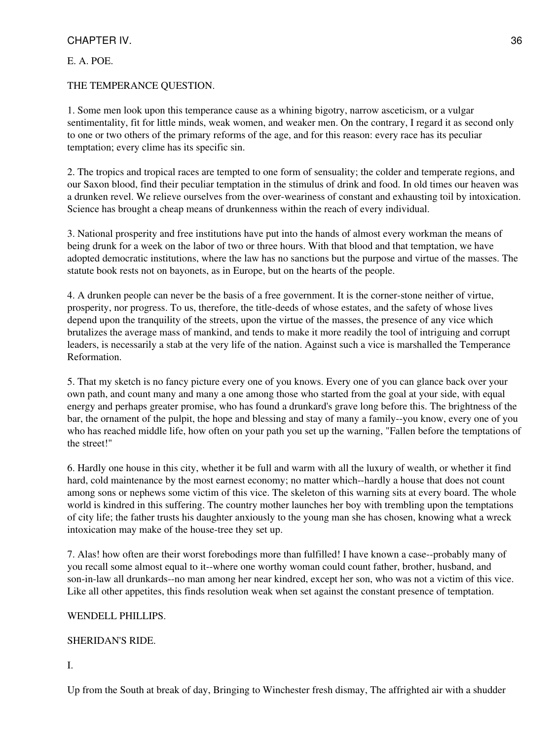E. A. POE.

THE TEMPERANCE QUESTION.

1. Some men look upon this temperance cause as a whining bigotry, narrow asceticism, or a vulgar sentimentality, fit for little minds, weak women, and weaker men. On the contrary, I regard it as second only to one or two others of the primary reforms of the age, and for this reason: every race has its peculiar temptation; every clime has its specific sin.

2. The tropics and tropical races are tempted to one form of sensuality; the colder and temperate regions, and our Saxon blood, find their peculiar temptation in the stimulus of drink and food. In old times our heaven was a drunken revel. We relieve ourselves from the over-weariness of constant and exhausting toil by intoxication. Science has brought a cheap means of drunkenness within the reach of every individual.

3. National prosperity and free institutions have put into the hands of almost every workman the means of being drunk for a week on the labor of two or three hours. With that blood and that temptation, we have adopted democratic institutions, where the law has no sanctions but the purpose and virtue of the masses. The statute book rests not on bayonets, as in Europe, but on the hearts of the people.

4. A drunken people can never be the basis of a free government. It is the corner-stone neither of virtue, prosperity, nor progress. To us, therefore, the title-deeds of whose estates, and the safety of whose lives depend upon the tranquility of the streets, upon the virtue of the masses, the presence of any vice which brutalizes the average mass of mankind, and tends to make it more readily the tool of intriguing and corrupt leaders, is necessarily a stab at the very life of the nation. Against such a vice is marshalled the Temperance Reformation.

5. That my sketch is no fancy picture every one of you knows. Every one of you can glance back over your own path, and count many and many a one among those who started from the goal at your side, with equal energy and perhaps greater promise, who has found a drunkard's grave long before this. The brightness of the bar, the ornament of the pulpit, the hope and blessing and stay of many a family--you know, every one of you who has reached middle life, how often on your path you set up the warning, "Fallen before the temptations of the street!"

6. Hardly one house in this city, whether it be full and warm with all the luxury of wealth, or whether it find hard, cold maintenance by the most earnest economy; no matter which--hardly a house that does not count among sons or nephews some victim of this vice. The skeleton of this warning sits at every board. The whole world is kindred in this suffering. The country mother launches her boy with trembling upon the temptations of city life; the father trusts his daughter anxiously to the young man she has chosen, knowing what a wreck intoxication may make of the house-tree they set up.

7. Alas! how often are their worst forebodings more than fulfilled! I have known a case--probably many of you recall some almost equal to it--where one worthy woman could count father, brother, husband, and son-in-law all drunkards--no man among her near kindred, except her son, who was not a victim of this vice. Like all other appetites, this finds resolution weak when set against the constant presence of temptation.

# WENDELL PHILLIPS.

# SHERIDAN'S RIDE.

I.

Up from the South at break of day, Bringing to Winchester fresh dismay, The affrighted air with a shudder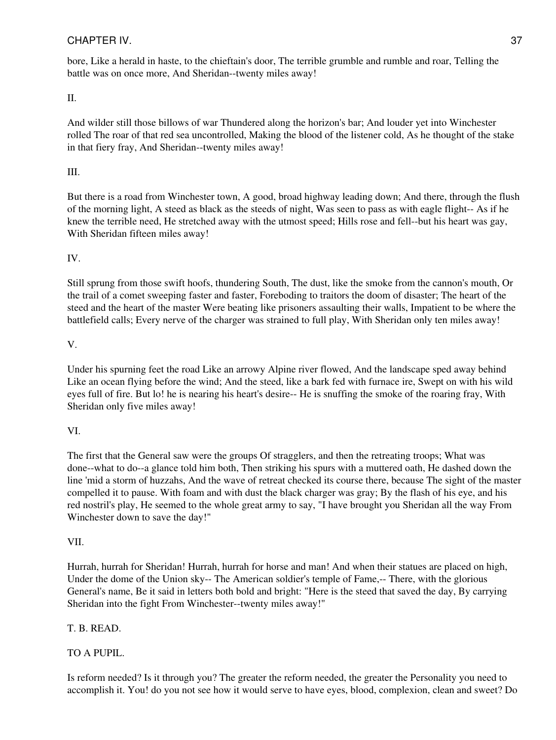bore, Like a herald in haste, to the chieftain's door, The terrible grumble and rumble and roar, Telling the battle was on once more, And Sheridan--twenty miles away!

II.

And wilder still those billows of war Thundered along the horizon's bar; And louder yet into Winchester rolled The roar of that red sea uncontrolled, Making the blood of the listener cold, As he thought of the stake in that fiery fray, And Sheridan--twenty miles away!

# III.

But there is a road from Winchester town, A good, broad highway leading down; And there, through the flush of the morning light, A steed as black as the steeds of night, Was seen to pass as with eagle flight-- As if he knew the terrible need, He stretched away with the utmost speed; Hills rose and fell--but his heart was gay, With Sheridan fifteen miles away!

# IV.

Still sprung from those swift hoofs, thundering South, The dust, like the smoke from the cannon's mouth, Or the trail of a comet sweeping faster and faster, Foreboding to traitors the doom of disaster; The heart of the steed and the heart of the master Were beating like prisoners assaulting their walls, Impatient to be where the battlefield calls; Every nerve of the charger was strained to full play, With Sheridan only ten miles away!

## V.

Under his spurning feet the road Like an arrowy Alpine river flowed, And the landscape sped away behind Like an ocean flying before the wind; And the steed, like a bark fed with furnace ire, Swept on with his wild eyes full of fire. But lo! he is nearing his heart's desire-- He is snuffing the smoke of the roaring fray, With Sheridan only five miles away!

# VI.

The first that the General saw were the groups Of stragglers, and then the retreating troops; What was done--what to do--a glance told him both, Then striking his spurs with a muttered oath, He dashed down the line 'mid a storm of huzzahs, And the wave of retreat checked its course there, because The sight of the master compelled it to pause. With foam and with dust the black charger was gray; By the flash of his eye, and his red nostril's play, He seemed to the whole great army to say, "I have brought you Sheridan all the way From Winchester down to save the day!"

## VII.

Hurrah, hurrah for Sheridan! Hurrah, hurrah for horse and man! And when their statues are placed on high, Under the dome of the Union sky-- The American soldier's temple of Fame,-- There, with the glorious General's name, Be it said in letters both bold and bright: "Here is the steed that saved the day, By carrying Sheridan into the fight From Winchester--twenty miles away!"

# T. B. READ.

# TO A PUPIL.

Is reform needed? Is it through you? The greater the reform needed, the greater the Personality you need to accomplish it. You! do you not see how it would serve to have eyes, blood, complexion, clean and sweet? Do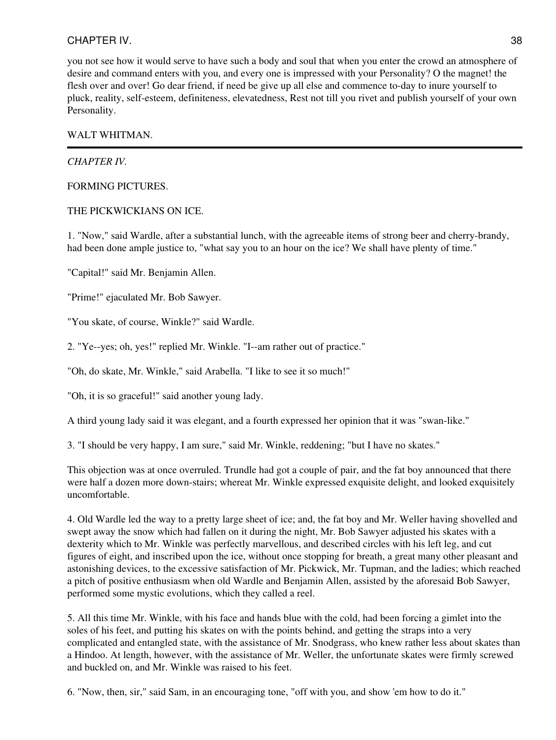you not see how it would serve to have such a body and soul that when you enter the crowd an atmosphere of desire and command enters with you, and every one is impressed with your Personality? O the magnet! the flesh over and over! Go dear friend, if need be give up all else and commence to-day to inure yourself to pluck, reality, self-esteem, definiteness, elevatedness, Rest not till you rivet and publish yourself of your own Personality.

## WALT WHITMAN.

## *CHAPTER IV.*

## FORMING PICTURES.

## THE PICKWICKIANS ON ICE.

1. "Now," said Wardle, after a substantial lunch, with the agreeable items of strong beer and cherry-brandy, had been done ample justice to, "what say you to an hour on the ice? We shall have plenty of time."

"Capital!" said Mr. Benjamin Allen.

"Prime!" ejaculated Mr. Bob Sawyer.

"You skate, of course, Winkle?" said Wardle.

2. "Ye--yes; oh, yes!" replied Mr. Winkle. "I--am rather out of practice."

"Oh, do skate, Mr. Winkle," said Arabella. "I like to see it so much!"

"Oh, it is so graceful!" said another young lady.

A third young lady said it was elegant, and a fourth expressed her opinion that it was "swan-like."

3. "I should be very happy, I am sure," said Mr. Winkle, reddening; "but I have no skates."

This objection was at once overruled. Trundle had got a couple of pair, and the fat boy announced that there were half a dozen more down-stairs; whereat Mr. Winkle expressed exquisite delight, and looked exquisitely uncomfortable.

4. Old Wardle led the way to a pretty large sheet of ice; and, the fat boy and Mr. Weller having shovelled and swept away the snow which had fallen on it during the night, Mr. Bob Sawyer adjusted his skates with a dexterity which to Mr. Winkle was perfectly marvellous, and described circles with his left leg, and cut figures of eight, and inscribed upon the ice, without once stopping for breath, a great many other pleasant and astonishing devices, to the excessive satisfaction of Mr. Pickwick, Mr. Tupman, and the ladies; which reached a pitch of positive enthusiasm when old Wardle and Benjamin Allen, assisted by the aforesaid Bob Sawyer, performed some mystic evolutions, which they called a reel.

5. All this time Mr. Winkle, with his face and hands blue with the cold, had been forcing a gimlet into the soles of his feet, and putting his skates on with the points behind, and getting the straps into a very complicated and entangled state, with the assistance of Mr. Snodgrass, who knew rather less about skates than a Hindoo. At length, however, with the assistance of Mr. Weller, the unfortunate skates were firmly screwed and buckled on, and Mr. Winkle was raised to his feet.

6. "Now, then, sir," said Sam, in an encouraging tone, "off with you, and show 'em how to do it."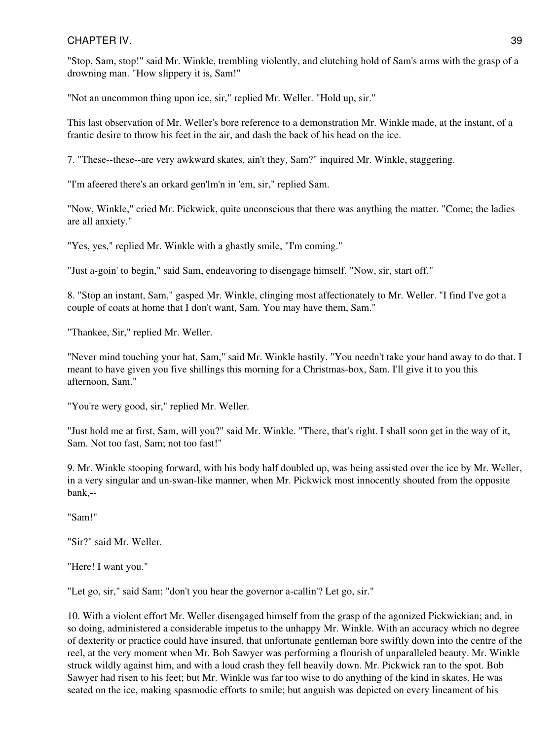"Stop, Sam, stop!" said Mr. Winkle, trembling violently, and clutching hold of Sam's arms with the grasp of a drowning man. "How slippery it is, Sam!"

"Not an uncommon thing upon ice, sir," replied Mr. Weller. "Hold up, sir."

This last observation of Mr. Weller's bore reference to a demonstration Mr. Winkle made, at the instant, of a frantic desire to throw his feet in the air, and dash the back of his head on the ice.

7. "These--these--are very awkward skates, ain't they, Sam?" inquired Mr. Winkle, staggering.

"I'm afeered there's an orkard gen'lm'n in 'em, sir," replied Sam.

"Now, Winkle," cried Mr. Pickwick, quite unconscious that there was anything the matter. "Come; the ladies are all anxiety."

"Yes, yes," replied Mr. Winkle with a ghastly smile, "I'm coming."

"Just a-goin' to begin," said Sam, endeavoring to disengage himself. "Now, sir, start off."

8. "Stop an instant, Sam," gasped Mr. Winkle, clinging most affectionately to Mr. Weller. "I find I've got a couple of coats at home that I don't want, Sam. You may have them, Sam."

"Thankee, Sir," replied Mr. Weller.

"Never mind touching your hat, Sam," said Mr. Winkle hastily. "You needn't take your hand away to do that. I meant to have given you five shillings this morning for a Christmas-box, Sam. I'll give it to you this afternoon, Sam."

"You're wery good, sir," replied Mr. Weller.

"Just hold me at first, Sam, will you?" said Mr. Winkle. "There, that's right. I shall soon get in the way of it, Sam. Not too fast, Sam; not too fast!"

9. Mr. Winkle stooping forward, with his body half doubled up, was being assisted over the ice by Mr. Weller, in a very singular and un-swan-like manner, when Mr. Pickwick most innocently shouted from the opposite bank,--

"Sam!"

"Sir?" said Mr. Weller.

"Here! I want you."

"Let go, sir," said Sam; "don't you hear the governor a-callin'? Let go, sir."

10. With a violent effort Mr. Weller disengaged himself from the grasp of the agonized Pickwickian; and, in so doing, administered a considerable impetus to the unhappy Mr. Winkle. With an accuracy which no degree of dexterity or practice could have insured, that unfortunate gentleman bore swiftly down into the centre of the reel, at the very moment when Mr. Bob Sawyer was performing a flourish of unparalleled beauty. Mr. Winkle struck wildly against him, and with a loud crash they fell heavily down. Mr. Pickwick ran to the spot. Bob Sawyer had risen to his feet; but Mr. Winkle was far too wise to do anything of the kind in skates. He was seated on the ice, making spasmodic efforts to smile; but anguish was depicted on every lineament of his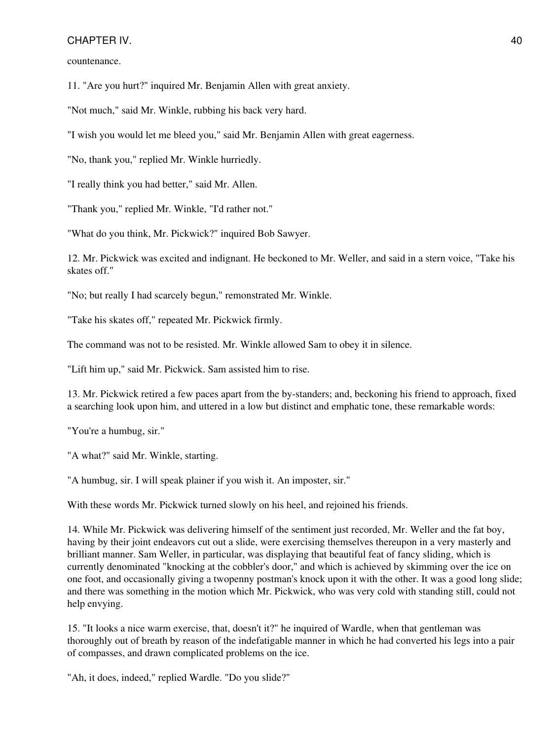countenance.

11. "Are you hurt?" inquired Mr. Benjamin Allen with great anxiety.

"Not much," said Mr. Winkle, rubbing his back very hard.

"I wish you would let me bleed you," said Mr. Benjamin Allen with great eagerness.

"No, thank you," replied Mr. Winkle hurriedly.

"I really think you had better," said Mr. Allen.

"Thank you," replied Mr. Winkle, "I'd rather not."

"What do you think, Mr. Pickwick?" inquired Bob Sawyer.

12. Mr. Pickwick was excited and indignant. He beckoned to Mr. Weller, and said in a stern voice, "Take his skates off."

"No; but really I had scarcely begun," remonstrated Mr. Winkle.

"Take his skates off," repeated Mr. Pickwick firmly.

The command was not to be resisted. Mr. Winkle allowed Sam to obey it in silence.

"Lift him up," said Mr. Pickwick. Sam assisted him to rise.

13. Mr. Pickwick retired a few paces apart from the by-standers; and, beckoning his friend to approach, fixed a searching look upon him, and uttered in a low but distinct and emphatic tone, these remarkable words:

"You're a humbug, sir."

"A what?" said Mr. Winkle, starting.

"A humbug, sir. I will speak plainer if you wish it. An imposter, sir."

With these words Mr. Pickwick turned slowly on his heel, and rejoined his friends.

14. While Mr. Pickwick was delivering himself of the sentiment just recorded, Mr. Weller and the fat boy, having by their joint endeavors cut out a slide, were exercising themselves thereupon in a very masterly and brilliant manner. Sam Weller, in particular, was displaying that beautiful feat of fancy sliding, which is currently denominated "knocking at the cobbler's door," and which is achieved by skimming over the ice on one foot, and occasionally giving a twopenny postman's knock upon it with the other. It was a good long slide; and there was something in the motion which Mr. Pickwick, who was very cold with standing still, could not help envying.

15. "It looks a nice warm exercise, that, doesn't it?" he inquired of Wardle, when that gentleman was thoroughly out of breath by reason of the indefatigable manner in which he had converted his legs into a pair of compasses, and drawn complicated problems on the ice.

"Ah, it does, indeed," replied Wardle. "Do you slide?"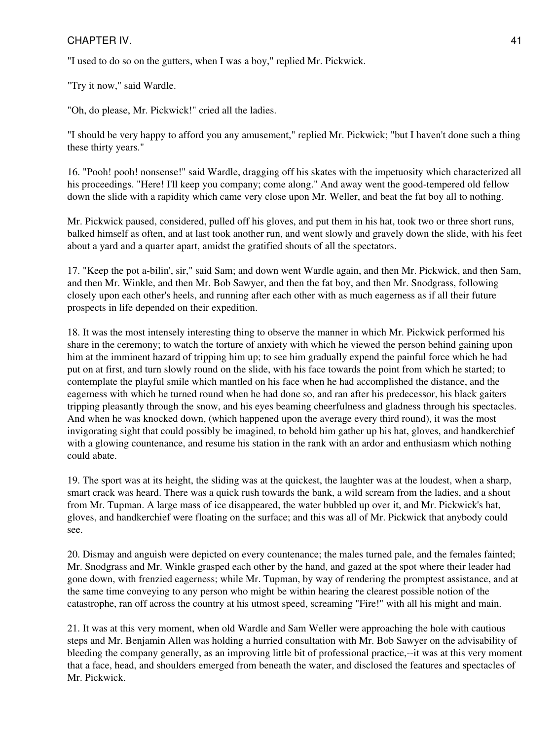"I used to do so on the gutters, when I was a boy," replied Mr. Pickwick.

"Try it now," said Wardle.

"Oh, do please, Mr. Pickwick!" cried all the ladies.

"I should be very happy to afford you any amusement," replied Mr. Pickwick; "but I haven't done such a thing these thirty years."

16. "Pooh! pooh! nonsense!" said Wardle, dragging off his skates with the impetuosity which characterized all his proceedings. "Here! I'll keep you company; come along." And away went the good-tempered old fellow down the slide with a rapidity which came very close upon Mr. Weller, and beat the fat boy all to nothing.

Mr. Pickwick paused, considered, pulled off his gloves, and put them in his hat, took two or three short runs, balked himself as often, and at last took another run, and went slowly and gravely down the slide, with his feet about a yard and a quarter apart, amidst the gratified shouts of all the spectators.

17. "Keep the pot a-bilin', sir," said Sam; and down went Wardle again, and then Mr. Pickwick, and then Sam, and then Mr. Winkle, and then Mr. Bob Sawyer, and then the fat boy, and then Mr. Snodgrass, following closely upon each other's heels, and running after each other with as much eagerness as if all their future prospects in life depended on their expedition.

18. It was the most intensely interesting thing to observe the manner in which Mr. Pickwick performed his share in the ceremony; to watch the torture of anxiety with which he viewed the person behind gaining upon him at the imminent hazard of tripping him up; to see him gradually expend the painful force which he had put on at first, and turn slowly round on the slide, with his face towards the point from which he started; to contemplate the playful smile which mantled on his face when he had accomplished the distance, and the eagerness with which he turned round when he had done so, and ran after his predecessor, his black gaiters tripping pleasantly through the snow, and his eyes beaming cheerfulness and gladness through his spectacles. And when he was knocked down, (which happened upon the average every third round), it was the most invigorating sight that could possibly be imagined, to behold him gather up his hat, gloves, and handkerchief with a glowing countenance, and resume his station in the rank with an ardor and enthusiasm which nothing could abate.

19. The sport was at its height, the sliding was at the quickest, the laughter was at the loudest, when a sharp, smart crack was heard. There was a quick rush towards the bank, a wild scream from the ladies, and a shout from Mr. Tupman. A large mass of ice disappeared, the water bubbled up over it, and Mr. Pickwick's hat, gloves, and handkerchief were floating on the surface; and this was all of Mr. Pickwick that anybody could see.

20. Dismay and anguish were depicted on every countenance; the males turned pale, and the females fainted; Mr. Snodgrass and Mr. Winkle grasped each other by the hand, and gazed at the spot where their leader had gone down, with frenzied eagerness; while Mr. Tupman, by way of rendering the promptest assistance, and at the same time conveying to any person who might be within hearing the clearest possible notion of the catastrophe, ran off across the country at his utmost speed, screaming "Fire!" with all his might and main.

21. It was at this very moment, when old Wardle and Sam Weller were approaching the hole with cautious steps and Mr. Benjamin Allen was holding a hurried consultation with Mr. Bob Sawyer on the advisability of bleeding the company generally, as an improving little bit of professional practice,--it was at this very moment that a face, head, and shoulders emerged from beneath the water, and disclosed the features and spectacles of Mr. Pickwick.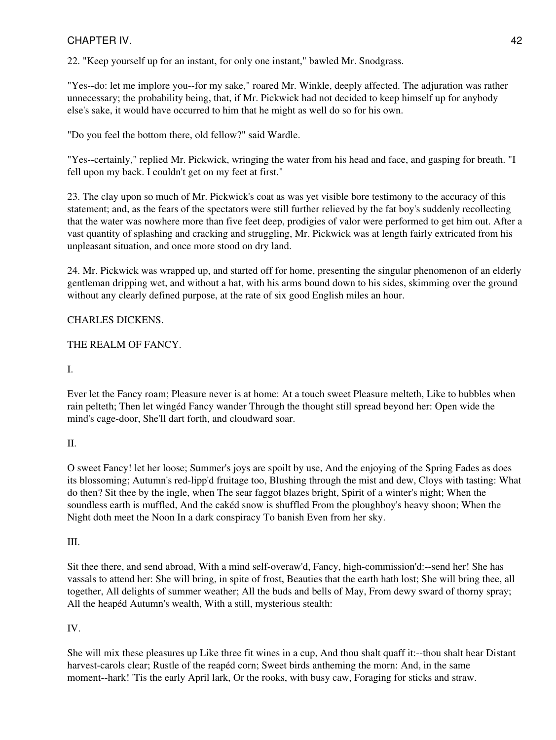22. "Keep yourself up for an instant, for only one instant," bawled Mr. Snodgrass.

"Yes--do: let me implore you--for my sake," roared Mr. Winkle, deeply affected. The adjuration was rather unnecessary; the probability being, that, if Mr. Pickwick had not decided to keep himself up for anybody else's sake, it would have occurred to him that he might as well do so for his own.

"Do you feel the bottom there, old fellow?" said Wardle.

"Yes--certainly," replied Mr. Pickwick, wringing the water from his head and face, and gasping for breath. "I fell upon my back. I couldn't get on my feet at first."

23. The clay upon so much of Mr. Pickwick's coat as was yet visible bore testimony to the accuracy of this statement; and, as the fears of the spectators were still further relieved by the fat boy's suddenly recollecting that the water was nowhere more than five feet deep, prodigies of valor were performed to get him out. After a vast quantity of splashing and cracking and struggling, Mr. Pickwick was at length fairly extricated from his unpleasant situation, and once more stood on dry land.

24. Mr. Pickwick was wrapped up, and started off for home, presenting the singular phenomenon of an elderly gentleman dripping wet, and without a hat, with his arms bound down to his sides, skimming over the ground without any clearly defined purpose, at the rate of six good English miles an hour.

# CHARLES DICKENS.

# THE REALM OF FANCY.

# I.

Ever let the Fancy roam; Pleasure never is at home: At a touch sweet Pleasure melteth, Like to bubbles when rain pelteth; Then let wingéd Fancy wander Through the thought still spread beyond her: Open wide the mind's cage-door, She'll dart forth, and cloudward soar.

# II.

O sweet Fancy! let her loose; Summer's joys are spoilt by use, And the enjoying of the Spring Fades as does its blossoming; Autumn's red-lipp'd fruitage too, Blushing through the mist and dew, Cloys with tasting: What do then? Sit thee by the ingle, when The sear faggot blazes bright, Spirit of a winter's night; When the soundless earth is muffled, And the cakéd snow is shuffled From the ploughboy's heavy shoon; When the Night doth meet the Noon In a dark conspiracy To banish Even from her sky.

# III.

Sit thee there, and send abroad, With a mind self-overaw'd, Fancy, high-commission'd:--send her! She has vassals to attend her: She will bring, in spite of frost, Beauties that the earth hath lost; She will bring thee, all together, All delights of summer weather; All the buds and bells of May, From dewy sward of thorny spray; All the heapéd Autumn's wealth, With a still, mysterious stealth:

# IV.

She will mix these pleasures up Like three fit wines in a cup, And thou shalt quaff it:--thou shalt hear Distant harvest-carols clear; Rustle of the reapéd corn; Sweet birds antheming the morn: And, in the same moment--hark! 'Tis the early April lark, Or the rooks, with busy caw, Foraging for sticks and straw.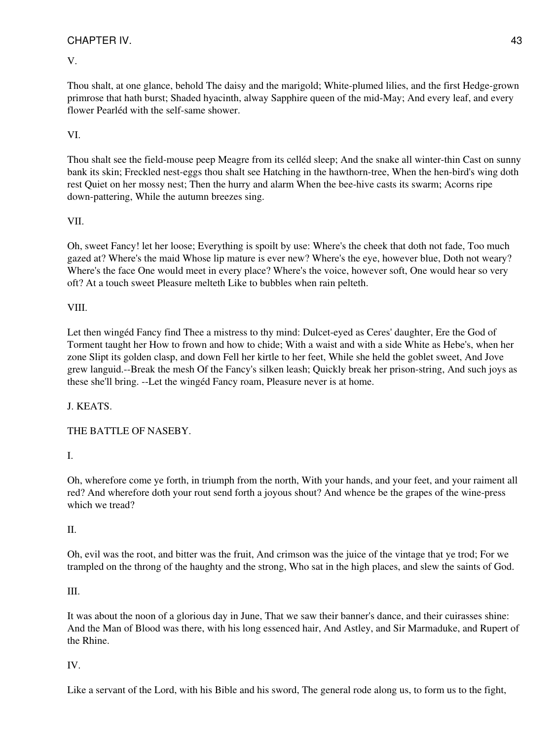# V.

Thou shalt, at one glance, behold The daisy and the marigold; White-plumed lilies, and the first Hedge-grown primrose that hath burst; Shaded hyacinth, alway Sapphire queen of the mid-May; And every leaf, and every flower Pearléd with the self-same shower.

# VI.

Thou shalt see the field-mouse peep Meagre from its celléd sleep; And the snake all winter-thin Cast on sunny bank its skin; Freckled nest-eggs thou shalt see Hatching in the hawthorn-tree, When the hen-bird's wing doth rest Quiet on her mossy nest; Then the hurry and alarm When the bee-hive casts its swarm; Acorns ripe down-pattering, While the autumn breezes sing.

## VII.

Oh, sweet Fancy! let her loose; Everything is spoilt by use: Where's the cheek that doth not fade, Too much gazed at? Where's the maid Whose lip mature is ever new? Where's the eye, however blue, Doth not weary? Where's the face One would meet in every place? Where's the voice, however soft, One would hear so very oft? At a touch sweet Pleasure melteth Like to bubbles when rain pelteth.

## VIII.

Let then wingéd Fancy find Thee a mistress to thy mind: Dulcet-eyed as Ceres' daughter, Ere the God of Torment taught her How to frown and how to chide; With a waist and with a side White as Hebe's, when her zone Slipt its golden clasp, and down Fell her kirtle to her feet, While she held the goblet sweet, And Jove grew languid.--Break the mesh Of the Fancy's silken leash; Quickly break her prison-string, And such joys as these she'll bring. --Let the wingéd Fancy roam, Pleasure never is at home.

J. KEATS.

# THE BATTLE OF NASEBY.

# I.

Oh, wherefore come ye forth, in triumph from the north, With your hands, and your feet, and your raiment all red? And wherefore doth your rout send forth a joyous shout? And whence be the grapes of the wine-press which we tread?

## II.

Oh, evil was the root, and bitter was the fruit, And crimson was the juice of the vintage that ye trod; For we trampled on the throng of the haughty and the strong, Who sat in the high places, and slew the saints of God.

## III.

It was about the noon of a glorious day in June, That we saw their banner's dance, and their cuirasses shine: And the Man of Blood was there, with his long essenced hair, And Astley, and Sir Marmaduke, and Rupert of the Rhine.

# IV.

Like a servant of the Lord, with his Bible and his sword, The general rode along us, to form us to the fight,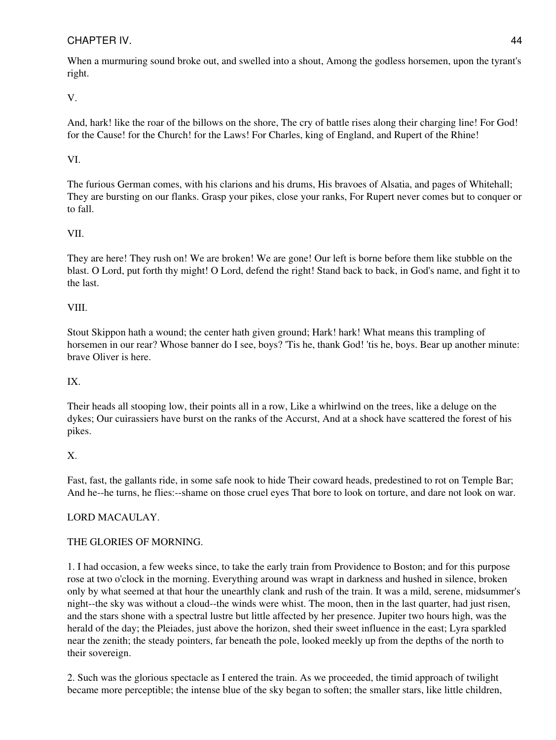When a murmuring sound broke out, and swelled into a shout, Among the godless horsemen, upon the tyrant's right.

V.

And, hark! like the roar of the billows on the shore, The cry of battle rises along their charging line! For God! for the Cause! for the Church! for the Laws! For Charles, king of England, and Rupert of the Rhine!

## VI.

The furious German comes, with his clarions and his drums, His bravoes of Alsatia, and pages of Whitehall; They are bursting on our flanks. Grasp your pikes, close your ranks, For Rupert never comes but to conquer or to fall.

## VII.

They are here! They rush on! We are broken! We are gone! Our left is borne before them like stubble on the blast. O Lord, put forth thy might! O Lord, defend the right! Stand back to back, in God's name, and fight it to the last.

## VIII.

Stout Skippon hath a wound; the center hath given ground; Hark! hark! What means this trampling of horsemen in our rear? Whose banner do I see, boys? 'Tis he, thank God! 'tis he, boys. Bear up another minute: brave Oliver is here.

## IX.

Their heads all stooping low, their points all in a row, Like a whirlwind on the trees, like a deluge on the dykes; Our cuirassiers have burst on the ranks of the Accurst, And at a shock have scattered the forest of his pikes.

# X.

Fast, fast, the gallants ride, in some safe nook to hide Their coward heads, predestined to rot on Temple Bar; And he--he turns, he flies:--shame on those cruel eyes That bore to look on torture, and dare not look on war.

# LORD MACAULAY.

## THE GLORIES OF MORNING.

1. I had occasion, a few weeks since, to take the early train from Providence to Boston; and for this purpose rose at two o'clock in the morning. Everything around was wrapt in darkness and hushed in silence, broken only by what seemed at that hour the unearthly clank and rush of the train. It was a mild, serene, midsummer's night--the sky was without a cloud--the winds were whist. The moon, then in the last quarter, had just risen, and the stars shone with a spectral lustre but little affected by her presence. Jupiter two hours high, was the herald of the day; the Pleiades, just above the horizon, shed their sweet influence in the east; Lyra sparkled near the zenith; the steady pointers, far beneath the pole, looked meekly up from the depths of the north to their sovereign.

2. Such was the glorious spectacle as I entered the train. As we proceeded, the timid approach of twilight became more perceptible; the intense blue of the sky began to soften; the smaller stars, like little children,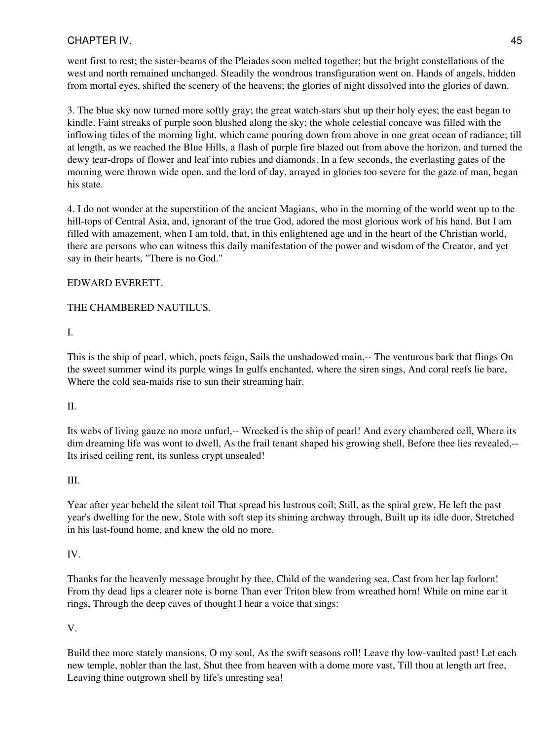went first to rest; the sister-beams of the Pleiades soon melted together; but the bright constellations of the west and north remained unchanged. Steadily the wondrous transfiguration went on. Hands of angels, hidden from mortal eyes, shifted the scenery of the heavens; the glories of night dissolved into the glories of dawn.

3. The blue sky now turned more softly gray; the great watch-stars shut up their holy eyes; the east began to kindle. Faint streaks of purple soon blushed along the sky; the whole celestial concave was filled with the inflowing tides of the morning light, which came pouring down from above in one great ocean of radiance; till at length, as we reached the Blue Hills, a flash of purple fire blazed out from above the horizon, and turned the dewy tear-drops of flower and leaf into rubies and diamonds. In a few seconds, the everlasting gates of the morning were thrown wide open, and the lord of day, arrayed in glories too severe for the gaze of man, began his state.

4. I do not wonder at the superstition of the ancient Magians, who in the morning of the world went up to the hill-tops of Central Asia, and, ignorant of the true God, adored the most glorious work of his hand. But I am filled with amazement, when I am told, that, in this enlightened age and in the heart of the Christian world, there are persons who can witness this daily manifestation of the power and wisdom of the Creator, and yet say in their hearts, "There is no God."

## EDWARD EVERETT.

## THE CHAMBERED NAUTILUS.

## I.

This is the ship of pearl, which, poets feign, Sails the unshadowed main,-- The venturous bark that flings On the sweet summer wind its purple wings In gulfs enchanted, where the siren sings, And coral reefs lie bare, Where the cold sea-maids rise to sun their streaming hair.

## II.

Its webs of living gauze no more unfurl,-- Wrecked is the ship of pearl! And every chambered cell, Where its dim dreaming life was wont to dwell, As the frail tenant shaped his growing shell, Before thee lies revealed,-- Its irised ceiling rent, its sunless crypt unsealed!

## III.

Year after year beheld the silent toil That spread his lustrous coil; Still, as the spiral grew, He left the past year's dwelling for the new, Stole with soft step its shining archway through, Built up its idle door, Stretched in his last-found home, and knew the old no more.

## IV.

Thanks for the heavenly message brought by thee, Child of the wandering sea, Cast from her lap forlorn! From thy dead lips a clearer note is borne Than ever Triton blew from wreathed horn! While on mine ear it rings, Through the deep caves of thought I hear a voice that sings:

## V.

Build thee more stately mansions, O my soul, As the swift seasons roll! Leave thy low-vaulted past! Let each new temple, nobler than the last, Shut thee from heaven with a dome more vast, Till thou at length art free, Leaving thine outgrown shell by life's unresting sea!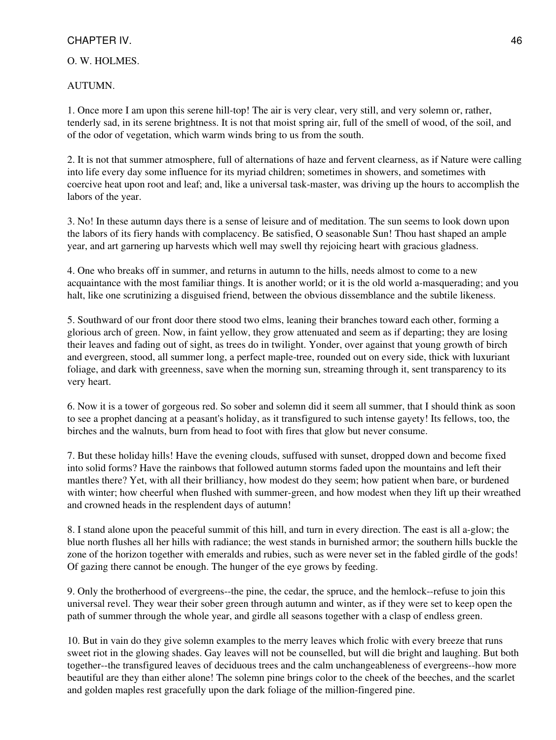## O. W. HOLMES.

#### AUTUMN.

1. Once more I am upon this serene hill-top! The air is very clear, very still, and very solemn or, rather, tenderly sad, in its serene brightness. It is not that moist spring air, full of the smell of wood, of the soil, and of the odor of vegetation, which warm winds bring to us from the south.

2. It is not that summer atmosphere, full of alternations of haze and fervent clearness, as if Nature were calling into life every day some influence for its myriad children; sometimes in showers, and sometimes with coercive heat upon root and leaf; and, like a universal task-master, was driving up the hours to accomplish the labors of the year.

3. No! In these autumn days there is a sense of leisure and of meditation. The sun seems to look down upon the labors of its fiery hands with complacency. Be satisfied, O seasonable Sun! Thou hast shaped an ample year, and art garnering up harvests which well may swell thy rejoicing heart with gracious gladness.

4. One who breaks off in summer, and returns in autumn to the hills, needs almost to come to a new acquaintance with the most familiar things. It is another world; or it is the old world a-masquerading; and you halt, like one scrutinizing a disguised friend, between the obvious dissemblance and the subtile likeness.

5. Southward of our front door there stood two elms, leaning their branches toward each other, forming a glorious arch of green. Now, in faint yellow, they grow attenuated and seem as if departing; they are losing their leaves and fading out of sight, as trees do in twilight. Yonder, over against that young growth of birch and evergreen, stood, all summer long, a perfect maple-tree, rounded out on every side, thick with luxuriant foliage, and dark with greenness, save when the morning sun, streaming through it, sent transparency to its very heart.

6. Now it is a tower of gorgeous red. So sober and solemn did it seem all summer, that I should think as soon to see a prophet dancing at a peasant's holiday, as it transfigured to such intense gayety! Its fellows, too, the birches and the walnuts, burn from head to foot with fires that glow but never consume.

7. But these holiday hills! Have the evening clouds, suffused with sunset, dropped down and become fixed into solid forms? Have the rainbows that followed autumn storms faded upon the mountains and left their mantles there? Yet, with all their brilliancy, how modest do they seem; how patient when bare, or burdened with winter; how cheerful when flushed with summer-green, and how modest when they lift up their wreathed and crowned heads in the resplendent days of autumn!

8. I stand alone upon the peaceful summit of this hill, and turn in every direction. The east is all a-glow; the blue north flushes all her hills with radiance; the west stands in burnished armor; the southern hills buckle the zone of the horizon together with emeralds and rubies, such as were never set in the fabled girdle of the gods! Of gazing there cannot be enough. The hunger of the eye grows by feeding.

9. Only the brotherhood of evergreens--the pine, the cedar, the spruce, and the hemlock--refuse to join this universal revel. They wear their sober green through autumn and winter, as if they were set to keep open the path of summer through the whole year, and girdle all seasons together with a clasp of endless green.

10. But in vain do they give solemn examples to the merry leaves which frolic with every breeze that runs sweet riot in the glowing shades. Gay leaves will not be counselled, but will die bright and laughing. But both together--the transfigured leaves of deciduous trees and the calm unchangeableness of evergreens--how more beautiful are they than either alone! The solemn pine brings color to the cheek of the beeches, and the scarlet and golden maples rest gracefully upon the dark foliage of the million-fingered pine.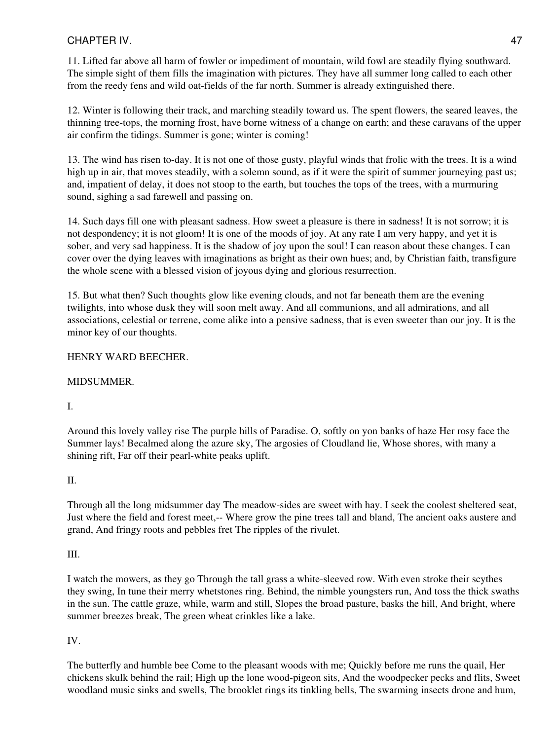11. Lifted far above all harm of fowler or impediment of mountain, wild fowl are steadily flying southward. The simple sight of them fills the imagination with pictures. They have all summer long called to each other from the reedy fens and wild oat-fields of the far north. Summer is already extinguished there.

12. Winter is following their track, and marching steadily toward us. The spent flowers, the seared leaves, the thinning tree-tops, the morning frost, have borne witness of a change on earth; and these caravans of the upper air confirm the tidings. Summer is gone; winter is coming!

13. The wind has risen to-day. It is not one of those gusty, playful winds that frolic with the trees. It is a wind high up in air, that moves steadily, with a solemn sound, as if it were the spirit of summer journeying past us; and, impatient of delay, it does not stoop to the earth, but touches the tops of the trees, with a murmuring sound, sighing a sad farewell and passing on.

14. Such days fill one with pleasant sadness. How sweet a pleasure is there in sadness! It is not sorrow; it is not despondency; it is not gloom! It is one of the moods of joy. At any rate I am very happy, and yet it is sober, and very sad happiness. It is the shadow of joy upon the soul! I can reason about these changes. I can cover over the dying leaves with imaginations as bright as their own hues; and, by Christian faith, transfigure the whole scene with a blessed vision of joyous dying and glorious resurrection.

15. But what then? Such thoughts glow like evening clouds, and not far beneath them are the evening twilights, into whose dusk they will soon melt away. And all communions, and all admirations, and all associations, celestial or terrene, come alike into a pensive sadness, that is even sweeter than our joy. It is the minor key of our thoughts.

# HENRY WARD BEECHER.

# MIDSUMMER.

# I.

Around this lovely valley rise The purple hills of Paradise. O, softly on yon banks of haze Her rosy face the Summer lays! Becalmed along the azure sky, The argosies of Cloudland lie, Whose shores, with many a shining rift, Far off their pearl-white peaks uplift.

# II.

Through all the long midsummer day The meadow-sides are sweet with hay. I seek the coolest sheltered seat, Just where the field and forest meet,-- Where grow the pine trees tall and bland, The ancient oaks austere and grand, And fringy roots and pebbles fret The ripples of the rivulet.

# III.

I watch the mowers, as they go Through the tall grass a white-sleeved row. With even stroke their scythes they swing, In tune their merry whetstones ring. Behind, the nimble youngsters run, And toss the thick swaths in the sun. The cattle graze, while, warm and still, Slopes the broad pasture, basks the hill, And bright, where summer breezes break, The green wheat crinkles like a lake.

# IV.

The butterfly and humble bee Come to the pleasant woods with me; Quickly before me runs the quail, Her chickens skulk behind the rail; High up the lone wood-pigeon sits, And the woodpecker pecks and flits, Sweet woodland music sinks and swells, The brooklet rings its tinkling bells, The swarming insects drone and hum,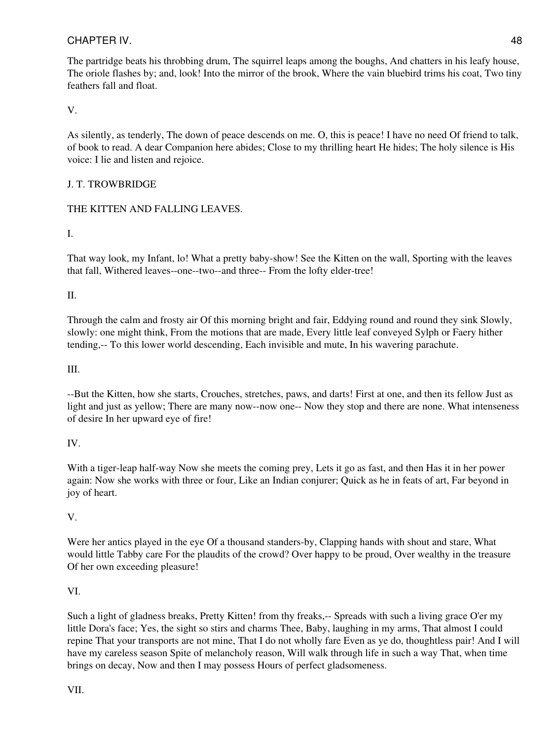The partridge beats his throbbing drum, The squirrel leaps among the boughs, And chatters in his leafy house, The oriole flashes by; and, look! Into the mirror of the brook, Where the vain bluebird trims his coat, Two tiny feathers fall and float.

V.

As silently, as tenderly, The down of peace descends on me. O, this is peace! I have no need Of friend to talk, of book to read. A dear Companion here abides; Close to my thrilling heart He hides; The holy silence is His voice: I lie and listen and rejoice.

# J. T. TROWBRIDGE

# THE KITTEN AND FALLING LEAVES.

I.

That way look, my Infant, lo! What a pretty baby-show! See the Kitten on the wall, Sporting with the leaves that fall, Withered leaves--one--two--and three-- From the lofty elder-tree!

II.

Through the calm and frosty air Of this morning bright and fair, Eddying round and round they sink Slowly, slowly: one might think, From the motions that are made, Every little leaf conveyed Sylph or Faery hither tending,-- To this lower world descending, Each invisible and mute, In his wavering parachute.

III.

--But the Kitten, how she starts, Crouches, stretches, paws, and darts! First at one, and then its fellow Just as light and just as yellow; There are many now--now one-- Now they stop and there are none. What intenseness of desire In her upward eye of fire!

IV.

With a tiger-leap half-way Now she meets the coming prey, Lets it go as fast, and then Has it in her power again: Now she works with three or four, Like an Indian conjurer; Quick as he in feats of art, Far beyond in joy of heart.

V.

Were her antics played in the eye Of a thousand standers-by, Clapping hands with shout and stare, What would little Tabby care For the plaudits of the crowd? Over happy to be proud, Over wealthy in the treasure Of her own exceeding pleasure!

# VI.

Such a light of gladness breaks, Pretty Kitten! from thy freaks,-- Spreads with such a living grace O'er my little Dora's face; Yes, the sight so stirs and charms Thee, Baby, laughing in my arms, That almost I could repine That your transports are not mine, That I do not wholly fare Even as ye do, thoughtless pair! And I will have my careless season Spite of melancholy reason, Will walk through life in such a way That, when time brings on decay, Now and then I may possess Hours of perfect gladsomeness.

VII.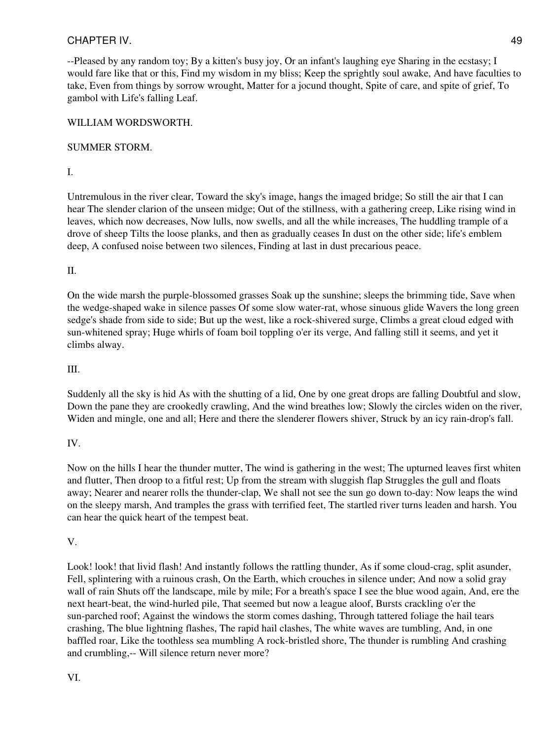--Pleased by any random toy; By a kitten's busy joy, Or an infant's laughing eye Sharing in the ecstasy; I would fare like that or this, Find my wisdom in my bliss; Keep the sprightly soul awake, And have faculties to take, Even from things by sorrow wrought, Matter for a jocund thought, Spite of care, and spite of grief, To gambol with Life's falling Leaf.

# WILLIAM WORDSWORTH.

# SUMMER STORM.

I.

Untremulous in the river clear, Toward the sky's image, hangs the imaged bridge; So still the air that I can hear The slender clarion of the unseen midge; Out of the stillness, with a gathering creep, Like rising wind in leaves, which now decreases, Now lulls, now swells, and all the while increases, The huddling trample of a drove of sheep Tilts the loose planks, and then as gradually ceases In dust on the other side; life's emblem deep, A confused noise between two silences, Finding at last in dust precarious peace.

# II.

On the wide marsh the purple-blossomed grasses Soak up the sunshine; sleeps the brimming tide, Save when the wedge-shaped wake in silence passes Of some slow water-rat, whose sinuous glide Wavers the long green sedge's shade from side to side; But up the west, like a rock-shivered surge, Climbs a great cloud edged with sun-whitened spray; Huge whirls of foam boil toppling o'er its verge, And falling still it seems, and yet it climbs alway.

## III.

Suddenly all the sky is hid As with the shutting of a lid, One by one great drops are falling Doubtful and slow, Down the pane they are crookedly crawling, And the wind breathes low; Slowly the circles widen on the river, Widen and mingle, one and all; Here and there the slenderer flowers shiver, Struck by an icy rain-drop's fall.

# IV.

Now on the hills I hear the thunder mutter, The wind is gathering in the west; The upturned leaves first whiten and flutter, Then droop to a fitful rest; Up from the stream with sluggish flap Struggles the gull and floats away; Nearer and nearer rolls the thunder-clap, We shall not see the sun go down to-day: Now leaps the wind on the sleepy marsh, And tramples the grass with terrified feet, The startled river turns leaden and harsh. You can hear the quick heart of the tempest beat.

# V.

Look! look! that livid flash! And instantly follows the rattling thunder, As if some cloud-crag, split asunder, Fell, splintering with a ruinous crash, On the Earth, which crouches in silence under; And now a solid gray wall of rain Shuts off the landscape, mile by mile; For a breath's space I see the blue wood again, And, ere the next heart-beat, the wind-hurled pile, That seemed but now a league aloof, Bursts crackling o'er the sun-parched roof; Against the windows the storm comes dashing, Through tattered foliage the hail tears crashing, The blue lightning flashes, The rapid hail clashes, The white waves are tumbling, And, in one baffled roar, Like the toothless sea mumbling A rock-bristled shore, The thunder is rumbling And crashing and crumbling,-- Will silence return never more?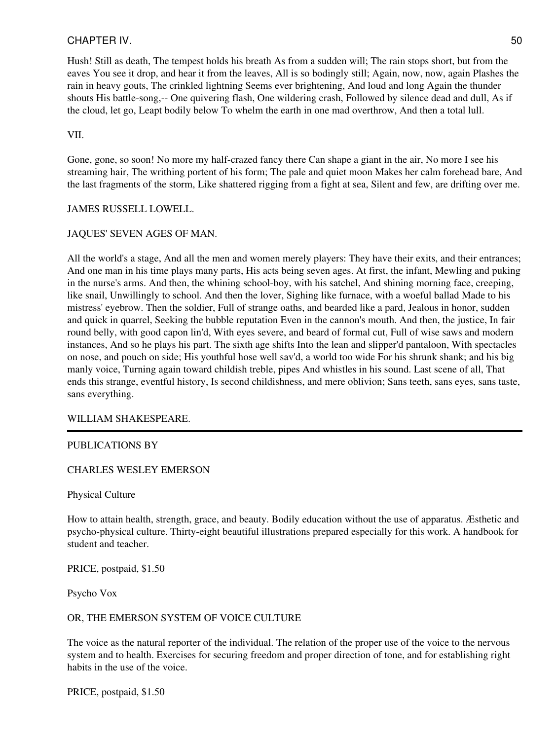Hush! Still as death, The tempest holds his breath As from a sudden will; The rain stops short, but from the eaves You see it drop, and hear it from the leaves, All is so bodingly still; Again, now, now, again Plashes the rain in heavy gouts, The crinkled lightning Seems ever brightening, And loud and long Again the thunder shouts His battle-song,-- One quivering flash, One wildering crash, Followed by silence dead and dull, As if the cloud, let go, Leapt bodily below To whelm the earth in one mad overthrow, And then a total lull.

#### VII.

Gone, gone, so soon! No more my half-crazed fancy there Can shape a giant in the air, No more I see his streaming hair, The writhing portent of his form; The pale and quiet moon Makes her calm forehead bare, And the last fragments of the storm, Like shattered rigging from a fight at sea, Silent and few, are drifting over me.

## JAMES RUSSELL LOWELL.

## JAQUES' SEVEN AGES OF MAN.

All the world's a stage, And all the men and women merely players: They have their exits, and their entrances; And one man in his time plays many parts, His acts being seven ages. At first, the infant, Mewling and puking in the nurse's arms. And then, the whining school-boy, with his satchel, And shining morning face, creeping, like snail, Unwillingly to school. And then the lover, Sighing like furnace, with a woeful ballad Made to his mistress' eyebrow. Then the soldier, Full of strange oaths, and bearded like a pard, Jealous in honor, sudden and quick in quarrel, Seeking the bubble reputation Even in the cannon's mouth. And then, the justice, In fair round belly, with good capon lin'd, With eyes severe, and beard of formal cut, Full of wise saws and modern instances, And so he plays his part. The sixth age shifts Into the lean and slipper'd pantaloon, With spectacles on nose, and pouch on side; His youthful hose well sav'd, a world too wide For his shrunk shank; and his big manly voice, Turning again toward childish treble, pipes And whistles in his sound. Last scene of all, That ends this strange, eventful history, Is second childishness, and mere oblivion; Sans teeth, sans eyes, sans taste, sans everything.

## WILLIAM SHAKESPEARE.

## PUBLICATIONS BY

## CHARLES WESLEY EMERSON

Physical Culture

How to attain health, strength, grace, and beauty. Bodily education without the use of apparatus. Æsthetic and psycho-physical culture. Thirty-eight beautiful illustrations prepared especially for this work. A handbook for student and teacher.

PRICE, postpaid, \$1.50

Psycho Vox

## OR, THE EMERSON SYSTEM OF VOICE CULTURE

The voice as the natural reporter of the individual. The relation of the proper use of the voice to the nervous system and to health. Exercises for securing freedom and proper direction of tone, and for establishing right habits in the use of the voice.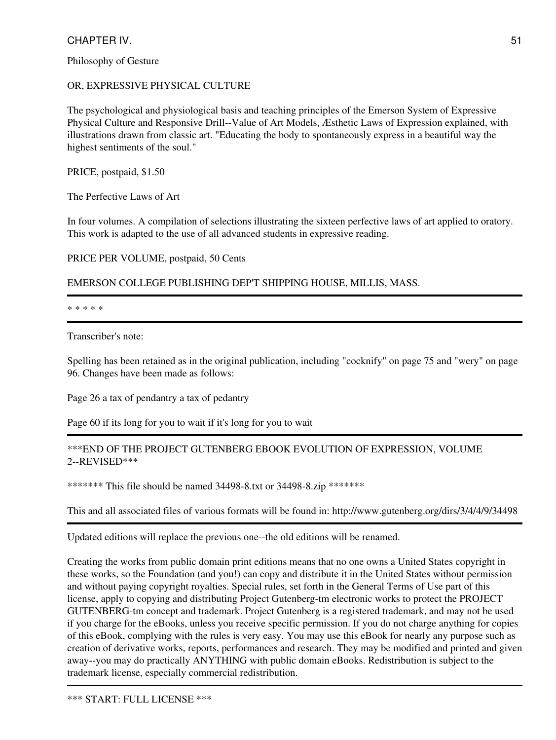Philosophy of Gesture

## OR, EXPRESSIVE PHYSICAL CULTURE

The psychological and physiological basis and teaching principles of the Emerson System of Expressive Physical Culture and Responsive Drill--Value of Art Models, Æsthetic Laws of Expression explained, with illustrations drawn from classic art. "Educating the body to spontaneously express in a beautiful way the highest sentiments of the soul."

PRICE, postpaid, \$1.50

The Perfective Laws of Art

In four volumes. A compilation of selections illustrating the sixteen perfective laws of art applied to oratory. This work is adapted to the use of all advanced students in expressive reading.

PRICE PER VOLUME, postpaid, 50 Cents

EMERSON COLLEGE PUBLISHING DEP'T SHIPPING HOUSE, MILLIS, MASS.

\* \* \* \* \*

Transcriber's note:

Spelling has been retained as in the original publication, including "cocknify" on page 75 and "wery" on page 96. Changes have been made as follows:

Page 26 a tax of pendantry a tax of pedantry

Page 60 if its long for you to wait if it's long for you to wait

## \*\*\*END OF THE PROJECT GUTENBERG EBOOK EVOLUTION OF EXPRESSION, VOLUME 2--REVISED\*\*\*

\*\*\*\*\*\*\* This file should be named 34498-8.txt or 34498-8.zip \*\*\*\*\*\*\*

This and all associated files of various formats will be found in: http://www.gutenberg.org/dirs/3/4/4/9/34498

Updated editions will replace the previous one--the old editions will be renamed.

Creating the works from public domain print editions means that no one owns a United States copyright in these works, so the Foundation (and you!) can copy and distribute it in the United States without permission and without paying copyright royalties. Special rules, set forth in the General Terms of Use part of this license, apply to copying and distributing Project Gutenberg-tm electronic works to protect the PROJECT GUTENBERG-tm concept and trademark. Project Gutenberg is a registered trademark, and may not be used if you charge for the eBooks, unless you receive specific permission. If you do not charge anything for copies of this eBook, complying with the rules is very easy. You may use this eBook for nearly any purpose such as creation of derivative works, reports, performances and research. They may be modified and printed and given away--you may do practically ANYTHING with public domain eBooks. Redistribution is subject to the trademark license, especially commercial redistribution.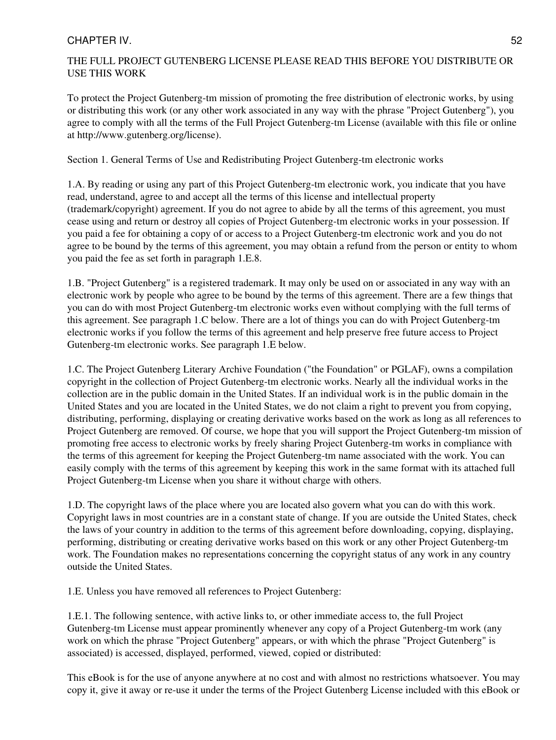## THE FULL PROJECT GUTENBERG LICENSE PLEASE READ THIS BEFORE YOU DISTRIBUTE OR USE THIS WORK

To protect the Project Gutenberg-tm mission of promoting the free distribution of electronic works, by using or distributing this work (or any other work associated in any way with the phrase "Project Gutenberg"), you agree to comply with all the terms of the Full Project Gutenberg-tm License (available with this file or online at http://www.gutenberg.org/license).

Section 1. General Terms of Use and Redistributing Project Gutenberg-tm electronic works

1.A. By reading or using any part of this Project Gutenberg-tm electronic work, you indicate that you have read, understand, agree to and accept all the terms of this license and intellectual property (trademark/copyright) agreement. If you do not agree to abide by all the terms of this agreement, you must cease using and return or destroy all copies of Project Gutenberg-tm electronic works in your possession. If you paid a fee for obtaining a copy of or access to a Project Gutenberg-tm electronic work and you do not agree to be bound by the terms of this agreement, you may obtain a refund from the person or entity to whom you paid the fee as set forth in paragraph 1.E.8.

1.B. "Project Gutenberg" is a registered trademark. It may only be used on or associated in any way with an electronic work by people who agree to be bound by the terms of this agreement. There are a few things that you can do with most Project Gutenberg-tm electronic works even without complying with the full terms of this agreement. See paragraph 1.C below. There are a lot of things you can do with Project Gutenberg-tm electronic works if you follow the terms of this agreement and help preserve free future access to Project Gutenberg-tm electronic works. See paragraph 1.E below.

1.C. The Project Gutenberg Literary Archive Foundation ("the Foundation" or PGLAF), owns a compilation copyright in the collection of Project Gutenberg-tm electronic works. Nearly all the individual works in the collection are in the public domain in the United States. If an individual work is in the public domain in the United States and you are located in the United States, we do not claim a right to prevent you from copying, distributing, performing, displaying or creating derivative works based on the work as long as all references to Project Gutenberg are removed. Of course, we hope that you will support the Project Gutenberg-tm mission of promoting free access to electronic works by freely sharing Project Gutenberg-tm works in compliance with the terms of this agreement for keeping the Project Gutenberg-tm name associated with the work. You can easily comply with the terms of this agreement by keeping this work in the same format with its attached full Project Gutenberg-tm License when you share it without charge with others.

1.D. The copyright laws of the place where you are located also govern what you can do with this work. Copyright laws in most countries are in a constant state of change. If you are outside the United States, check the laws of your country in addition to the terms of this agreement before downloading, copying, displaying, performing, distributing or creating derivative works based on this work or any other Project Gutenberg-tm work. The Foundation makes no representations concerning the copyright status of any work in any country outside the United States.

1.E. Unless you have removed all references to Project Gutenberg:

1.E.1. The following sentence, with active links to, or other immediate access to, the full Project Gutenberg-tm License must appear prominently whenever any copy of a Project Gutenberg-tm work (any work on which the phrase "Project Gutenberg" appears, or with which the phrase "Project Gutenberg" is associated) is accessed, displayed, performed, viewed, copied or distributed:

This eBook is for the use of anyone anywhere at no cost and with almost no restrictions whatsoever. You may copy it, give it away or re-use it under the terms of the Project Gutenberg License included with this eBook or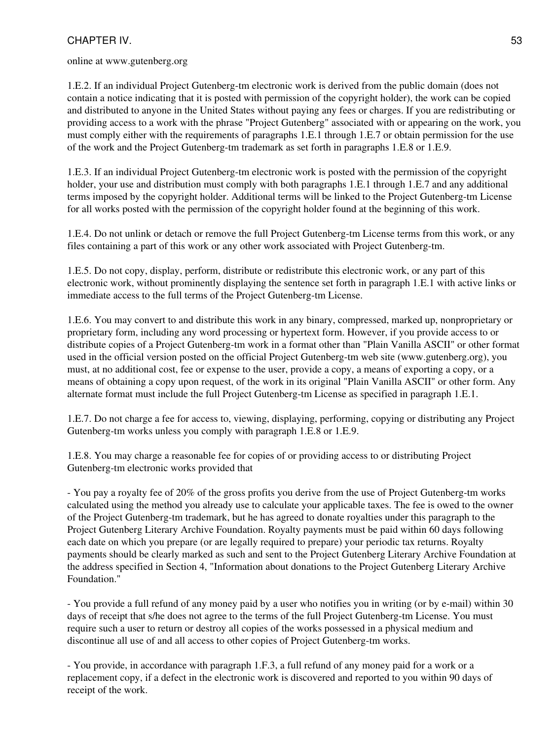online at www.gutenberg.org

1.E.2. If an individual Project Gutenberg-tm electronic work is derived from the public domain (does not contain a notice indicating that it is posted with permission of the copyright holder), the work can be copied and distributed to anyone in the United States without paying any fees or charges. If you are redistributing or providing access to a work with the phrase "Project Gutenberg" associated with or appearing on the work, you must comply either with the requirements of paragraphs 1.E.1 through 1.E.7 or obtain permission for the use of the work and the Project Gutenberg-tm trademark as set forth in paragraphs 1.E.8 or 1.E.9.

1.E.3. If an individual Project Gutenberg-tm electronic work is posted with the permission of the copyright holder, your use and distribution must comply with both paragraphs 1.E.1 through 1.E.7 and any additional terms imposed by the copyright holder. Additional terms will be linked to the Project Gutenberg-tm License for all works posted with the permission of the copyright holder found at the beginning of this work.

1.E.4. Do not unlink or detach or remove the full Project Gutenberg-tm License terms from this work, or any files containing a part of this work or any other work associated with Project Gutenberg-tm.

1.E.5. Do not copy, display, perform, distribute or redistribute this electronic work, or any part of this electronic work, without prominently displaying the sentence set forth in paragraph 1.E.1 with active links or immediate access to the full terms of the Project Gutenberg-tm License.

1.E.6. You may convert to and distribute this work in any binary, compressed, marked up, nonproprietary or proprietary form, including any word processing or hypertext form. However, if you provide access to or distribute copies of a Project Gutenberg-tm work in a format other than "Plain Vanilla ASCII" or other format used in the official version posted on the official Project Gutenberg-tm web site (www.gutenberg.org), you must, at no additional cost, fee or expense to the user, provide a copy, a means of exporting a copy, or a means of obtaining a copy upon request, of the work in its original "Plain Vanilla ASCII" or other form. Any alternate format must include the full Project Gutenberg-tm License as specified in paragraph 1.E.1.

1.E.7. Do not charge a fee for access to, viewing, displaying, performing, copying or distributing any Project Gutenberg-tm works unless you comply with paragraph 1.E.8 or 1.E.9.

1.E.8. You may charge a reasonable fee for copies of or providing access to or distributing Project Gutenberg-tm electronic works provided that

- You pay a royalty fee of 20% of the gross profits you derive from the use of Project Gutenberg-tm works calculated using the method you already use to calculate your applicable taxes. The fee is owed to the owner of the Project Gutenberg-tm trademark, but he has agreed to donate royalties under this paragraph to the Project Gutenberg Literary Archive Foundation. Royalty payments must be paid within 60 days following each date on which you prepare (or are legally required to prepare) your periodic tax returns. Royalty payments should be clearly marked as such and sent to the Project Gutenberg Literary Archive Foundation at the address specified in Section 4, "Information about donations to the Project Gutenberg Literary Archive Foundation."

- You provide a full refund of any money paid by a user who notifies you in writing (or by e-mail) within 30 days of receipt that s/he does not agree to the terms of the full Project Gutenberg-tm License. You must require such a user to return or destroy all copies of the works possessed in a physical medium and discontinue all use of and all access to other copies of Project Gutenberg-tm works.

- You provide, in accordance with paragraph 1.F.3, a full refund of any money paid for a work or a replacement copy, if a defect in the electronic work is discovered and reported to you within 90 days of receipt of the work.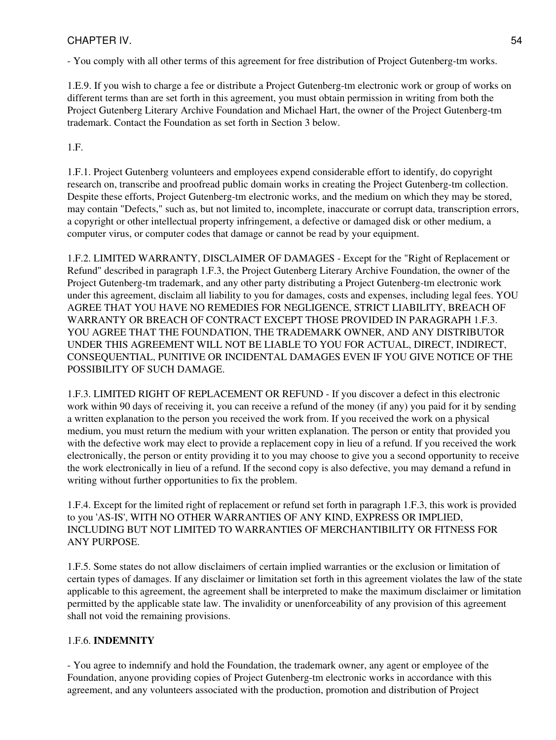- You comply with all other terms of this agreement for free distribution of Project Gutenberg-tm works.

1.E.9. If you wish to charge a fee or distribute a Project Gutenberg-tm electronic work or group of works on different terms than are set forth in this agreement, you must obtain permission in writing from both the Project Gutenberg Literary Archive Foundation and Michael Hart, the owner of the Project Gutenberg-tm trademark. Contact the Foundation as set forth in Section 3 below.

1.F.

1.F.1. Project Gutenberg volunteers and employees expend considerable effort to identify, do copyright research on, transcribe and proofread public domain works in creating the Project Gutenberg-tm collection. Despite these efforts, Project Gutenberg-tm electronic works, and the medium on which they may be stored, may contain "Defects," such as, but not limited to, incomplete, inaccurate or corrupt data, transcription errors, a copyright or other intellectual property infringement, a defective or damaged disk or other medium, a computer virus, or computer codes that damage or cannot be read by your equipment.

1.F.2. LIMITED WARRANTY, DISCLAIMER OF DAMAGES - Except for the "Right of Replacement or Refund" described in paragraph 1.F.3, the Project Gutenberg Literary Archive Foundation, the owner of the Project Gutenberg-tm trademark, and any other party distributing a Project Gutenberg-tm electronic work under this agreement, disclaim all liability to you for damages, costs and expenses, including legal fees. YOU AGREE THAT YOU HAVE NO REMEDIES FOR NEGLIGENCE, STRICT LIABILITY, BREACH OF WARRANTY OR BREACH OF CONTRACT EXCEPT THOSE PROVIDED IN PARAGRAPH 1.F.3. YOU AGREE THAT THE FOUNDATION, THE TRADEMARK OWNER, AND ANY DISTRIBUTOR UNDER THIS AGREEMENT WILL NOT BE LIABLE TO YOU FOR ACTUAL, DIRECT, INDIRECT, CONSEQUENTIAL, PUNITIVE OR INCIDENTAL DAMAGES EVEN IF YOU GIVE NOTICE OF THE POSSIBILITY OF SUCH DAMAGE.

1.F.3. LIMITED RIGHT OF REPLACEMENT OR REFUND - If you discover a defect in this electronic work within 90 days of receiving it, you can receive a refund of the money (if any) you paid for it by sending a written explanation to the person you received the work from. If you received the work on a physical medium, you must return the medium with your written explanation. The person or entity that provided you with the defective work may elect to provide a replacement copy in lieu of a refund. If you received the work electronically, the person or entity providing it to you may choose to give you a second opportunity to receive the work electronically in lieu of a refund. If the second copy is also defective, you may demand a refund in writing without further opportunities to fix the problem.

1.F.4. Except for the limited right of replacement or refund set forth in paragraph 1.F.3, this work is provided to you 'AS-IS', WITH NO OTHER WARRANTIES OF ANY KIND, EXPRESS OR IMPLIED, INCLUDING BUT NOT LIMITED TO WARRANTIES OF MERCHANTIBILITY OR FITNESS FOR ANY PURPOSE.

1.F.5. Some states do not allow disclaimers of certain implied warranties or the exclusion or limitation of certain types of damages. If any disclaimer or limitation set forth in this agreement violates the law of the state applicable to this agreement, the agreement shall be interpreted to make the maximum disclaimer or limitation permitted by the applicable state law. The invalidity or unenforceability of any provision of this agreement shall not void the remaining provisions.

# 1.F.6. **INDEMNITY**

- You agree to indemnify and hold the Foundation, the trademark owner, any agent or employee of the Foundation, anyone providing copies of Project Gutenberg-tm electronic works in accordance with this agreement, and any volunteers associated with the production, promotion and distribution of Project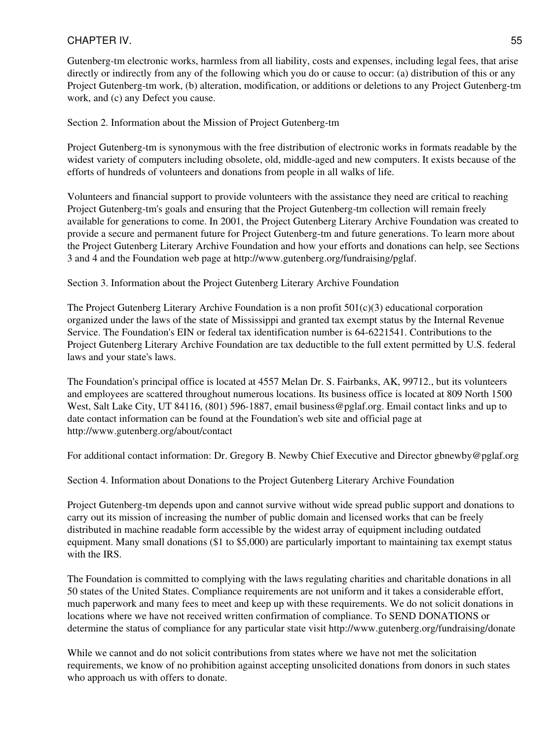Gutenberg-tm electronic works, harmless from all liability, costs and expenses, including legal fees, that arise directly or indirectly from any of the following which you do or cause to occur: (a) distribution of this or any Project Gutenberg-tm work, (b) alteration, modification, or additions or deletions to any Project Gutenberg-tm work, and (c) any Defect you cause.

Section 2. Information about the Mission of Project Gutenberg-tm

Project Gutenberg-tm is synonymous with the free distribution of electronic works in formats readable by the widest variety of computers including obsolete, old, middle-aged and new computers. It exists because of the efforts of hundreds of volunteers and donations from people in all walks of life.

Volunteers and financial support to provide volunteers with the assistance they need are critical to reaching Project Gutenberg-tm's goals and ensuring that the Project Gutenberg-tm collection will remain freely available for generations to come. In 2001, the Project Gutenberg Literary Archive Foundation was created to provide a secure and permanent future for Project Gutenberg-tm and future generations. To learn more about the Project Gutenberg Literary Archive Foundation and how your efforts and donations can help, see Sections 3 and 4 and the Foundation web page at http://www.gutenberg.org/fundraising/pglaf.

Section 3. Information about the Project Gutenberg Literary Archive Foundation

The Project Gutenberg Literary Archive Foundation is a non profit  $501(c)(3)$  educational corporation organized under the laws of the state of Mississippi and granted tax exempt status by the Internal Revenue Service. The Foundation's EIN or federal tax identification number is 64-6221541. Contributions to the Project Gutenberg Literary Archive Foundation are tax deductible to the full extent permitted by U.S. federal laws and your state's laws.

The Foundation's principal office is located at 4557 Melan Dr. S. Fairbanks, AK, 99712., but its volunteers and employees are scattered throughout numerous locations. Its business office is located at 809 North 1500 West, Salt Lake City, UT 84116, (801) 596-1887, email business@pglaf.org. Email contact links and up to date contact information can be found at the Foundation's web site and official page at http://www.gutenberg.org/about/contact

For additional contact information: Dr. Gregory B. Newby Chief Executive and Director gbnewby@pglaf.org

Section 4. Information about Donations to the Project Gutenberg Literary Archive Foundation

Project Gutenberg-tm depends upon and cannot survive without wide spread public support and donations to carry out its mission of increasing the number of public domain and licensed works that can be freely distributed in machine readable form accessible by the widest array of equipment including outdated equipment. Many small donations (\$1 to \$5,000) are particularly important to maintaining tax exempt status with the IRS.

The Foundation is committed to complying with the laws regulating charities and charitable donations in all 50 states of the United States. Compliance requirements are not uniform and it takes a considerable effort, much paperwork and many fees to meet and keep up with these requirements. We do not solicit donations in locations where we have not received written confirmation of compliance. To SEND DONATIONS or determine the status of compliance for any particular state visit http://www.gutenberg.org/fundraising/donate

While we cannot and do not solicit contributions from states where we have not met the solicitation requirements, we know of no prohibition against accepting unsolicited donations from donors in such states who approach us with offers to donate.